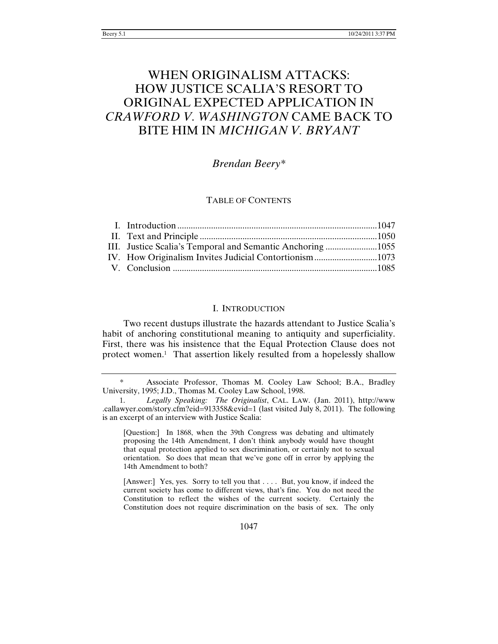# WHEN ORIGINALISM ATTACKS: HOW JUSTICE SCALIA'S RESORT TO ORIGINAL EXPECTED APPLICATION IN *CRAWFORD V. WASHINGTON* CAME BACK TO BITE HIM IN *MICHIGAN V. BRYANT*

# *Brendan Beery\**

# TABLE OF CONTENTS

# I. INTRODUCTION

Two recent dustups illustrate the hazards attendant to Justice Scalia's habit of anchoring constitutional meaning to antiquity and superficiality. First, there was his insistence that the Equal Protection Clause does not protect women.1 That assertion likely resulted from a hopelessly shallow

[Question:] In 1868, when the 39th Congress was debating and ultimately proposing the 14th Amendment, I don't think anybody would have thought that equal protection applied to sex discrimination, or certainly not to sexual orientation. So does that mean that we've gone off in error by applying the 14th Amendment to both?

[Answer:] Yes, yes. Sorry to tell you that . . . . But, you know, if indeed the current society has come to different views, that's fine. You do not need the Constitution to reflect the wishes of the current society. Certainly the Constitution does not require discrimination on the basis of sex. The only

 <sup>\*</sup> Associate Professor, Thomas M. Cooley Law School; B.A., Bradley University, 1995; J.D., Thomas M. Cooley Law School, 1998.

<sup>1.</sup> *Legally Speaking: The Originalist*, CAL. LAW. (Jan. 2011), http://www .callawyer.com/story.cfm?eid=913358&evid=1 (last visited July 8, 2011). The following is an excerpt of an interview with Justice Scalia: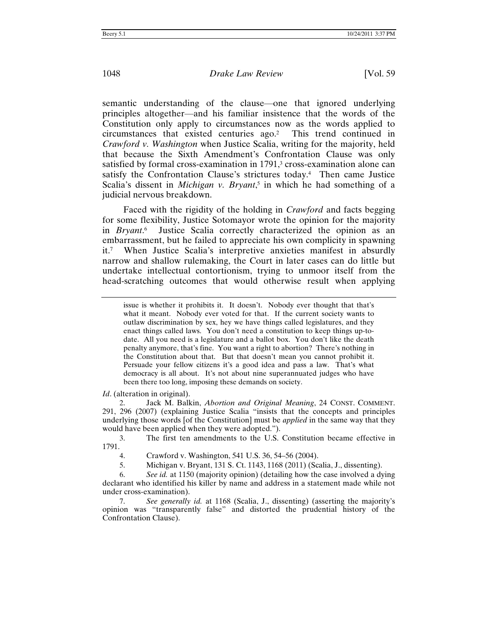semantic understanding of the clause—one that ignored underlying principles altogether—and his familiar insistence that the words of the Constitution only apply to circumstances now as the words applied to circumstances that existed centuries ago.2 This trend continued in *Crawford v. Washington* when Justice Scalia, writing for the majority, held that because the Sixth Amendment's Confrontation Clause was only satisfied by formal cross-examination in 1791,<sup>3</sup> cross-examination alone can satisfy the Confrontation Clause's strictures today.<sup>4</sup> Then came Justice Scalia's dissent in *Michigan v. Bryant*, 5 in which he had something of a judicial nervous breakdown.

Faced with the rigidity of the holding in *Crawford* and facts begging for some flexibility, Justice Sotomayor wrote the opinion for the majority in *Bryant*. Justice Scalia correctly characterized the opinion as an embarrassment, but he failed to appreciate his own complicity in spawning it.7 When Justice Scalia's interpretive anxieties manifest in absurdly narrow and shallow rulemaking, the Court in later cases can do little but undertake intellectual contortionism, trying to unmoor itself from the head-scratching outcomes that would otherwise result when applying

*Id*. (alteration in original).

2. Jack M. Balkin, *Abortion and Original Meaning*, 24 CONST. COMMENT. 291, 296 (2007) (explaining Justice Scalia "insists that the concepts and principles underlying those words [of the Constitution] must be *applied* in the same way that they would have been applied when they were adopted.").

3. The first ten amendments to the U.S. Constitution became effective in 1791.

issue is whether it prohibits it. It doesn't. Nobody ever thought that that's what it meant. Nobody ever voted for that. If the current society wants to outlaw discrimination by sex, hey we have things called legislatures, and they enact things called laws. You don't need a constitution to keep things up-todate. All you need is a legislature and a ballot box. You don't like the death penalty anymore, that's fine. You want a right to abortion? There's nothing in the Constitution about that. But that doesn't mean you cannot prohibit it. Persuade your fellow citizens it's a good idea and pass a law. That's what democracy is all about. It's not about nine superannuated judges who have been there too long, imposing these demands on society.

<sup>4.</sup> Crawford v. Washington, 541 U.S. 36, 54–56 (2004).

<sup>5.</sup> Michigan v. Bryant, 131 S. Ct. 1143, 1168 (2011) (Scalia, J., dissenting).

<sup>6.</sup> *See id.* at 1150 (majority opinion) (detailing how the case involved a dying declarant who identified his killer by name and address in a statement made while not under cross-examination).

<sup>7.</sup> *See generally id.* at 1168 (Scalia, J., dissenting) (asserting the majority's opinion was "transparently false" and distorted the prudential history of the Confrontation Clause).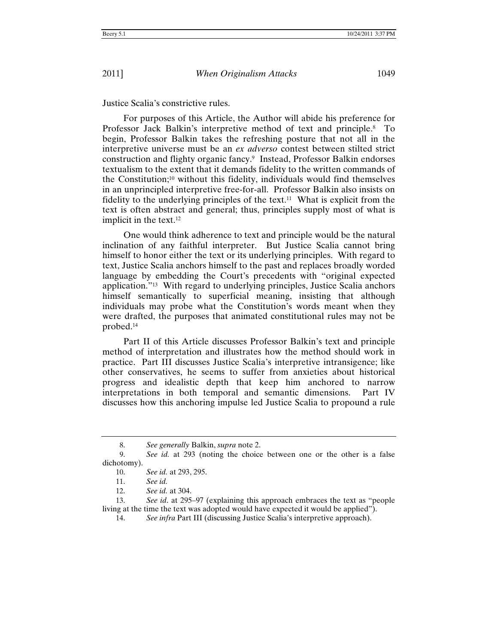Justice Scalia's constrictive rules.

For purposes of this Article, the Author will abide his preference for Professor Jack Balkin's interpretive method of text and principle.8 To begin, Professor Balkin takes the refreshing posture that not all in the interpretive universe must be an *ex adverso* contest between stilted strict construction and flighty organic fancy.9 Instead, Professor Balkin endorses textualism to the extent that it demands fidelity to the written commands of the Constitution;10 without this fidelity, individuals would find themselves in an unprincipled interpretive free-for-all. Professor Balkin also insists on fidelity to the underlying principles of the text.<sup>11</sup> What is explicit from the text is often abstract and general; thus, principles supply most of what is implicit in the text.12

One would think adherence to text and principle would be the natural inclination of any faithful interpreter. But Justice Scalia cannot bring himself to honor either the text or its underlying principles. With regard to text, Justice Scalia anchors himself to the past and replaces broadly worded language by embedding the Court's precedents with "original expected application."13 With regard to underlying principles, Justice Scalia anchors himself semantically to superficial meaning, insisting that although individuals may probe what the Constitution's words meant when they were drafted, the purposes that animated constitutional rules may not be probed.14

Part II of this Article discusses Professor Balkin's text and principle method of interpretation and illustrates how the method should work in practice. Part III discusses Justice Scalia's interpretive intransigence; like other conservatives, he seems to suffer from anxieties about historical progress and idealistic depth that keep him anchored to narrow interpretations in both temporal and semantic dimensions. Part IV discusses how this anchoring impulse led Justice Scalia to propound a rule

<sup>8.</sup> *See generally* Balkin, *supra* note 2.

<sup>9.</sup> *See id.* at 293 (noting the choice between one or the other is a false dichotomy).

<sup>10.</sup> *See id.* at 293, 295.

<sup>11.</sup> *See id.*

<sup>12.</sup> *See id.* at 304.

<sup>13.</sup> *See id*. at 295–97 (explaining this approach embraces the text as "people living at the time the text was adopted would have expected it would be applied").

<sup>14.</sup> *See infra* Part III (discussing Justice Scalia's interpretive approach).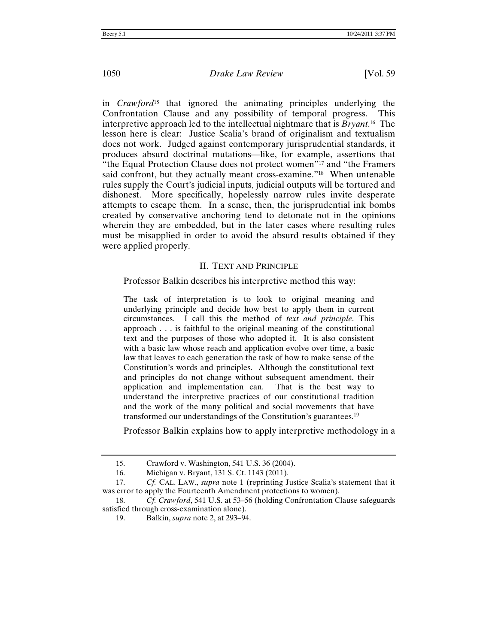in *Crawford*15 that ignored the animating principles underlying the Confrontation Clause and any possibility of temporal progress. This interpretive approach led to the intellectual nightmare that is *Bryant*. 16 The lesson here is clear: Justice Scalia's brand of originalism and textualism does not work. Judged against contemporary jurisprudential standards, it produces absurd doctrinal mutations—like, for example, assertions that "the Equal Protection Clause does not protect women"17 and "the Framers said confront, but they actually meant cross-examine."<sup>18</sup> When untenable rules supply the Court's judicial inputs, judicial outputs will be tortured and dishonest. More specifically, hopelessly narrow rules invite desperate attempts to escape them. In a sense, then, the jurisprudential ink bombs created by conservative anchoring tend to detonate not in the opinions wherein they are embedded, but in the later cases where resulting rules must be misapplied in order to avoid the absurd results obtained if they were applied properly.

#### II. TEXT AND PRINCIPLE

Professor Balkin describes his interpretive method this way:

The task of interpretation is to look to original meaning and underlying principle and decide how best to apply them in current circumstances. I call this the method of *text and principle*. This approach . . . is faithful to the original meaning of the constitutional text and the purposes of those who adopted it. It is also consistent with a basic law whose reach and application evolve over time, a basic law that leaves to each generation the task of how to make sense of the Constitution's words and principles. Although the constitutional text and principles do not change without subsequent amendment, their application and implementation can. That is the best way to understand the interpretive practices of our constitutional tradition and the work of the many political and social movements that have transformed our understandings of the Constitution's guarantees.19

Professor Balkin explains how to apply interpretive methodology in a

<sup>15.</sup> Crawford v. Washington, 541 U.S. 36 (2004).

<sup>16.</sup> Michigan v. Bryant, 131 S. Ct. 1143 (2011).

<sup>17.</sup> *Cf.* CAL. LAW., *supra* note 1 (reprinting Justice Scalia's statement that it was error to apply the Fourteenth Amendment protections to women).

<sup>18.</sup> *Cf. Crawford*, 541 U.S. at 53–56 (holding Confrontation Clause safeguards satisfied through cross-examination alone).

<sup>19.</sup> Balkin, *supra* note 2, at 293–94.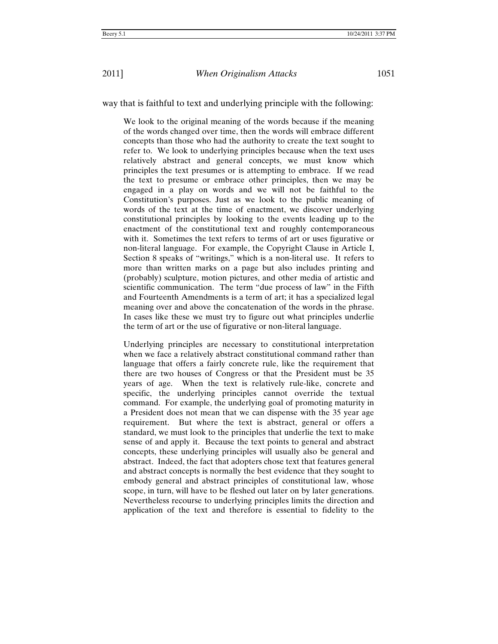way that is faithful to text and underlying principle with the following:

We look to the original meaning of the words because if the meaning of the words changed over time, then the words will embrace different concepts than those who had the authority to create the text sought to refer to. We look to underlying principles because when the text uses relatively abstract and general concepts, we must know which principles the text presumes or is attempting to embrace. If we read the text to presume or embrace other principles, then we may be engaged in a play on words and we will not be faithful to the Constitution's purposes. Just as we look to the public meaning of words of the text at the time of enactment, we discover underlying constitutional principles by looking to the events leading up to the enactment of the constitutional text and roughly contemporaneous with it. Sometimes the text refers to terms of art or uses figurative or non-literal language. For example, the Copyright Clause in Article I, Section 8 speaks of "writings," which is a non-literal use. It refers to more than written marks on a page but also includes printing and (probably) sculpture, motion pictures, and other media of artistic and scientific communication. The term "due process of law" in the Fifth and Fourteenth Amendments is a term of art; it has a specialized legal meaning over and above the concatenation of the words in the phrase. In cases like these we must try to figure out what principles underlie the term of art or the use of figurative or non-literal language.

Underlying principles are necessary to constitutional interpretation when we face a relatively abstract constitutional command rather than language that offers a fairly concrete rule, like the requirement that there are two houses of Congress or that the President must be 35 years of age. When the text is relatively rule-like, concrete and specific, the underlying principles cannot override the textual command. For example, the underlying goal of promoting maturity in a President does not mean that we can dispense with the 35 year age requirement. But where the text is abstract, general or offers a standard, we must look to the principles that underlie the text to make sense of and apply it. Because the text points to general and abstract concepts, these underlying principles will usually also be general and abstract. Indeed, the fact that adopters chose text that features general and abstract concepts is normally the best evidence that they sought to embody general and abstract principles of constitutional law, whose scope, in turn, will have to be fleshed out later on by later generations. Nevertheless recourse to underlying principles limits the direction and application of the text and therefore is essential to fidelity to the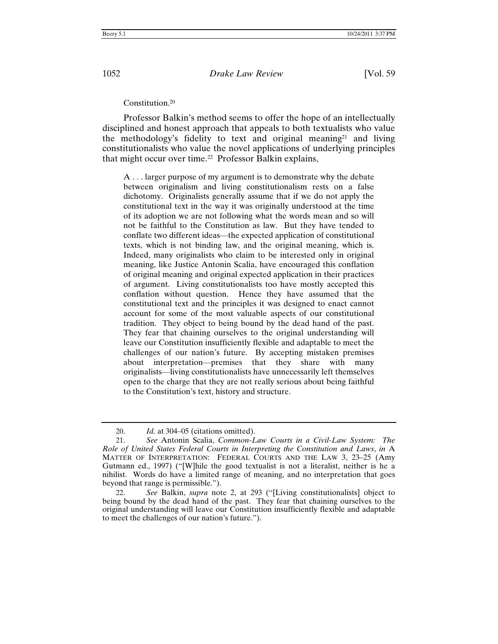#### Constitution.20

Professor Balkin's method seems to offer the hope of an intellectually disciplined and honest approach that appeals to both textualists who value the methodology's fidelity to text and original meaning21 and living constitutionalists who value the novel applications of underlying principles that might occur over time.<sup>22</sup> Professor Balkin explains,

A . . . larger purpose of my argument is to demonstrate why the debate between originalism and living constitutionalism rests on a false dichotomy. Originalists generally assume that if we do not apply the constitutional text in the way it was originally understood at the time of its adoption we are not following what the words mean and so will not be faithful to the Constitution as law. But they have tended to conflate two different ideas—the expected application of constitutional texts, which is not binding law, and the original meaning, which is. Indeed, many originalists who claim to be interested only in original meaning, like Justice Antonin Scalia, have encouraged this conflation of original meaning and original expected application in their practices of argument. Living constitutionalists too have mostly accepted this conflation without question. Hence they have assumed that the constitutional text and the principles it was designed to enact cannot account for some of the most valuable aspects of our constitutional tradition. They object to being bound by the dead hand of the past. They fear that chaining ourselves to the original understanding will leave our Constitution insufficiently flexible and adaptable to meet the challenges of our nation's future. By accepting mistaken premises about interpretation—premises that they share with many originalists—living constitutionalists have unnecessarily left themselves open to the charge that they are not really serious about being faithful to the Constitution's text, history and structure.

<sup>20.</sup> *Id.* at 304–05 (citations omitted).

<sup>21.</sup> *See* Antonin Scalia, *Common-Law Courts in a Civil-Law System: The Role of United States Federal Courts in Interpreting the Constitution and Laws*, *in* A MATTER OF INTERPRETATION: FEDERAL COURTS AND THE LAW 3, 23–25 (Amy Gutmann ed., 1997) ("[W]hile the good textualist is not a literalist, neither is he a nihilist. Words do have a limited range of meaning, and no interpretation that goes beyond that range is permissible.").

<sup>22.</sup> *See* Balkin, *supra* note 2, at 293 ("[Living constitutionalists] object to being bound by the dead hand of the past. They fear that chaining ourselves to the original understanding will leave our Constitution insufficiently flexible and adaptable to meet the challenges of our nation's future.").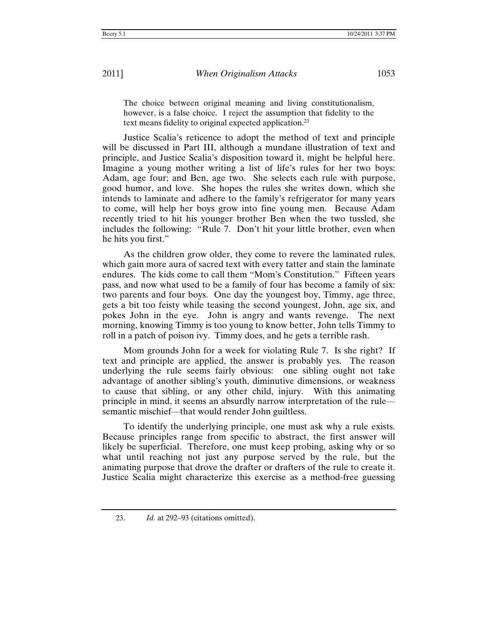The choice between original meaning and living constitutionalism, however, is a false choice. I reject the assumption that fidelity to the text means fidelity to original expected application.23

Justice Scalia's reticence to adopt the method of text and principle will be discussed in Part III, although a mundane illustration of text and principle, and Justice Scalia's disposition toward it, might be helpful here. Imagine a young mother writing a list of life's rules for her two boys: Adam, age four; and Ben, age two. She selects each rule with purpose, good humor, and love. She hopes the rules she writes down, which she intends to laminate and adhere to the family's refrigerator for many years to come, will help her boys grow into fine young men. Because Adam recently tried to hit his younger brother Ben when the two tussled, she includes the following: "Rule 7. Don't hit your little brother, even when he hits you first."

As the children grow older, they come to revere the laminated rules, which gain more aura of sacred text with every tatter and stain the laminate endures. The kids come to call them "Mom's Constitution." Fifteen years pass, and now what used to be a family of four has become a family of six: two parents and four boys. One day the youngest boy, Timmy, age three, gets a bit too feisty while teasing the second youngest, John, age six, and pokes John in the eye. John is angry and wants revenge. The next morning, knowing Timmy is too young to know better, John tells Timmy to roll in a patch of poison ivy. Timmy does, and he gets a terrible rash.

Mom grounds John for a week for violating Rule 7. Is she right? If text and principle are applied, the answer is probably yes. The reason underlying the rule seems fairly obvious: one sibling ought not take advantage of another sibling's youth, diminutive dimensions, or weakness to cause that sibling, or any other child, injury. With this animating principle in mind, it seems an absurdly narrow interpretation of the rule semantic mischief—that would render John guiltless.

To identify the underlying principle, one must ask why a rule exists. Because principles range from specific to abstract, the first answer will likely be superficial. Therefore, one must keep probing, asking why or so what until reaching not just any purpose served by the rule, but the animating purpose that drove the drafter or drafters of the rule to create it. Justice Scalia might characterize this exercise as a method-free guessing

<sup>23.</sup> *Id.* at 292–93 (citations omitted).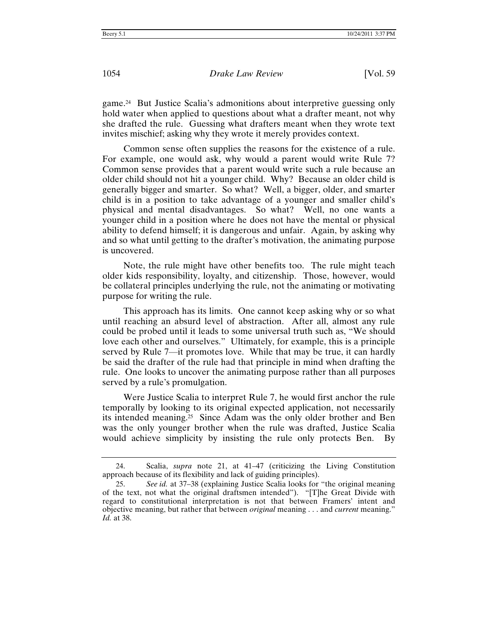game.24 But Justice Scalia's admonitions about interpretive guessing only hold water when applied to questions about what a drafter meant, not why she drafted the rule. Guessing what drafters meant when they wrote text invites mischief; asking why they wrote it merely provides context.

Common sense often supplies the reasons for the existence of a rule. For example, one would ask, why would a parent would write Rule 7? Common sense provides that a parent would write such a rule because an older child should not hit a younger child. Why? Because an older child is generally bigger and smarter. So what? Well, a bigger, older, and smarter child is in a position to take advantage of a younger and smaller child's physical and mental disadvantages. So what? Well, no one wants a younger child in a position where he does not have the mental or physical ability to defend himself; it is dangerous and unfair. Again, by asking why and so what until getting to the drafter's motivation, the animating purpose is uncovered.

Note, the rule might have other benefits too. The rule might teach older kids responsibility, loyalty, and citizenship. Those, however, would be collateral principles underlying the rule, not the animating or motivating purpose for writing the rule.

This approach has its limits. One cannot keep asking why or so what until reaching an absurd level of abstraction. After all, almost any rule could be probed until it leads to some universal truth such as, "We should love each other and ourselves." Ultimately, for example, this is a principle served by Rule 7—it promotes love. While that may be true, it can hardly be said the drafter of the rule had that principle in mind when drafting the rule. One looks to uncover the animating purpose rather than all purposes served by a rule's promulgation.

Were Justice Scalia to interpret Rule 7, he would first anchor the rule temporally by looking to its original expected application, not necessarily its intended meaning.25 Since Adam was the only older brother and Ben was the only younger brother when the rule was drafted, Justice Scalia would achieve simplicity by insisting the rule only protects Ben. By

<sup>24.</sup> Scalia, *supra* note 21, at 41–47 (criticizing the Living Constitution approach because of its flexibility and lack of guiding principles).

<sup>25.</sup> *See id.* at 37–38 (explaining Justice Scalia looks for "the original meaning of the text, not what the original draftsmen intended"). "[T]he Great Divide with regard to constitutional interpretation is not that between Framers' intent and objective meaning, but rather that between *original* meaning . . . and *current* meaning." *Id.* at 38.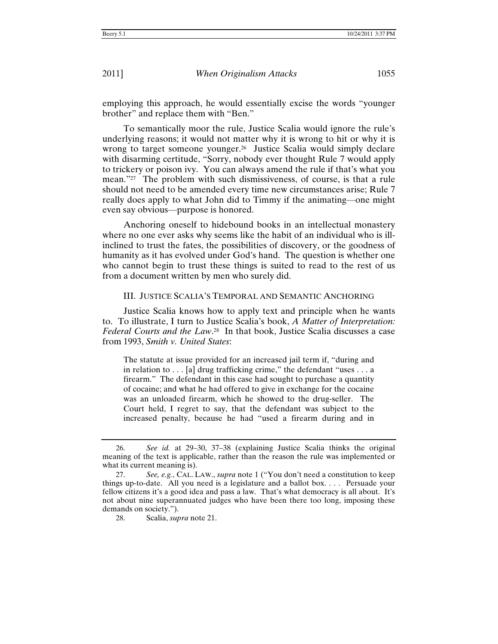employing this approach, he would essentially excise the words "younger brother" and replace them with "Ben."

To semantically moor the rule, Justice Scalia would ignore the rule's underlying reasons; it would not matter why it is wrong to hit or why it is wrong to target someone younger.<sup>26</sup> Justice Scalia would simply declare with disarming certitude, "Sorry, nobody ever thought Rule 7 would apply to trickery or poison ivy. You can always amend the rule if that's what you mean."27 The problem with such dismissiveness, of course, is that a rule should not need to be amended every time new circumstances arise; Rule 7 really does apply to what John did to Timmy if the animating—one might even say obvious—purpose is honored.

Anchoring oneself to hidebound books in an intellectual monastery where no one ever asks why seems like the habit of an individual who is illinclined to trust the fates, the possibilities of discovery, or the goodness of humanity as it has evolved under God's hand. The question is whether one who cannot begin to trust these things is suited to read to the rest of us from a document written by men who surely did.

#### III. JUSTICE SCALIA'S TEMPORAL AND SEMANTIC ANCHORING

Justice Scalia knows how to apply text and principle when he wants to. To illustrate, I turn to Justice Scalia's book, *A Matter of Interpretation: Federal Courts and the Law*. 28 In that book, Justice Scalia discusses a case from 1993, *Smith v. United States*:

The statute at issue provided for an increased jail term if, "during and in relation to . . . [a] drug trafficking crime," the defendant "uses . . . a firearm." The defendant in this case had sought to purchase a quantity of cocaine; and what he had offered to give in exchange for the cocaine was an unloaded firearm, which he showed to the drug-seller. The Court held, I regret to say, that the defendant was subject to the increased penalty, because he had "used a firearm during and in

<sup>26.</sup> *See id.* at 29–30, 37–38 (explaining Justice Scalia thinks the original meaning of the text is applicable, rather than the reason the rule was implemented or what its current meaning is).

<sup>27.</sup> *See, e.g.*, CAL. LAW., *supra* note 1 ("You don't need a constitution to keep things up-to-date. All you need is a legislature and a ballot box. . . . Persuade your fellow citizens it's a good idea and pass a law. That's what democracy is all about. It's not about nine superannuated judges who have been there too long, imposing these demands on society.").

<sup>28.</sup> Scalia, *supra* note 21.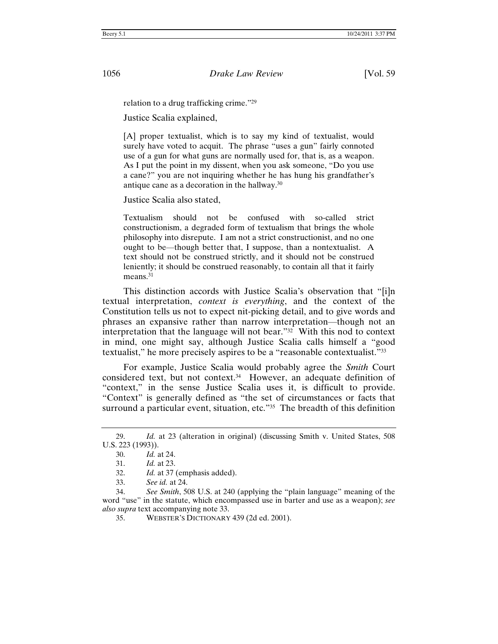relation to a drug trafficking crime."29

Justice Scalia explained,

[A] proper textualist, which is to say my kind of textualist, would surely have voted to acquit. The phrase "uses a gun" fairly connoted use of a gun for what guns are normally used for, that is, as a weapon. As I put the point in my dissent, when you ask someone, "Do you use a cane?" you are not inquiring whether he has hung his grandfather's antique cane as a decoration in the hallway.30

Justice Scalia also stated,

Textualism should not be confused with so-called strict constructionism, a degraded form of textualism that brings the whole philosophy into disrepute. I am not a strict constructionist, and no one ought to be—though better that, I suppose, than a nontextualist. A text should not be construed strictly, and it should not be construed leniently; it should be construed reasonably, to contain all that it fairly means.<sup>31</sup>

This distinction accords with Justice Scalia's observation that "[i]n textual interpretation, *context is everything*, and the context of the Constitution tells us not to expect nit-picking detail, and to give words and phrases an expansive rather than narrow interpretation—though not an interpretation that the language will not bear."32 With this nod to context in mind, one might say, although Justice Scalia calls himself a "good textualist," he more precisely aspires to be a "reasonable contextualist."33

For example, Justice Scalia would probably agree the *Smith* Court considered text, but not context.34 However, an adequate definition of "context," in the sense Justice Scalia uses it, is difficult to provide. "Context" is generally defined as "the set of circumstances or facts that surround a particular event, situation, etc."<sup>35</sup> The breadth of this definition

<sup>29.</sup> *Id.* at 23 (alteration in original) (discussing Smith v. United States, 508 U.S. 223 (1993)).

<sup>30.</sup> *Id.* at 24.

<sup>31.</sup> *Id.* at 23.

<sup>32.</sup> *Id.* at 37 (emphasis added).

<sup>33.</sup> *See id.* at 24.

<sup>34.</sup> *See Smith*, 508 U.S. at 240 (applying the "plain language" meaning of the word "use" in the statute, which encompassed use in barter and use as a weapon); *see also supra* text accompanying note 33.

<sup>35.</sup> WEBSTER'S DICTIONARY 439 (2d ed. 2001).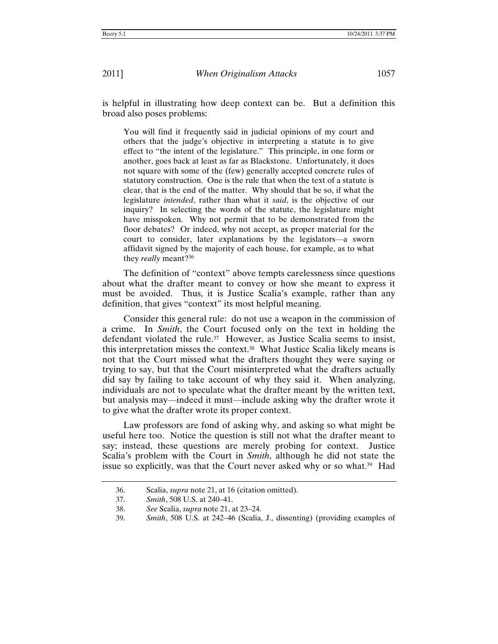is helpful in illustrating how deep context can be. But a definition this broad also poses problems:

You will find it frequently said in judicial opinions of my court and others that the judge's objective in interpreting a statute is to give effect to "the intent of the legislature." This principle, in one form or another, goes back at least as far as Blackstone. Unfortunately, it does not square with some of the (few) generally accepted concrete rules of statutory construction. One is the rule that when the text of a statute is clear, that is the end of the matter. Why should that be so, if what the legislature *intended*, rather than what it *said*, is the objective of our inquiry? In selecting the words of the statute, the legislature might have misspoken. Why not permit that to be demonstrated from the floor debates? Or indeed, why not accept, as proper material for the court to consider, later explanations by the legislators—a sworn affidavit signed by the majority of each house, for example, as to what they *really* meant?36

The definition of "context" above tempts carelessness since questions about what the drafter meant to convey or how she meant to express it must be avoided. Thus, it is Justice Scalia's example, rather than any definition, that gives "context" its most helpful meaning.

Consider this general rule: do not use a weapon in the commission of a crime. In *Smith*, the Court focused only on the text in holding the defendant violated the rule.<sup>37</sup> However, as Justice Scalia seems to insist, this interpretation misses the context.38 What Justice Scalia likely means is not that the Court missed what the drafters thought they were saying or trying to say, but that the Court misinterpreted what the drafters actually did say by failing to take account of why they said it. When analyzing, individuals are not to speculate what the drafter meant by the written text, but analysis may—indeed it must—include asking why the drafter wrote it to give what the drafter wrote its proper context.

Law professors are fond of asking why, and asking so what might be useful here too. Notice the question is still not what the drafter meant to say; instead, these questions are merely probing for context. Justice Scalia's problem with the Court in *Smith*, although he did not state the issue so explicitly, was that the Court never asked why or so what.39 Had

<sup>36.</sup> Scalia, *supra* note 21, at 16 (citation omitted).

<sup>37.</sup> *Smith*, 508 U.S. at 240–41.

<sup>38.</sup> *See* Scalia, *supra* note 21, at 23–24.

<sup>39.</sup> *Smith*, 508 U.S. at 242–46 (Scalia, J., dissenting) (providing examples of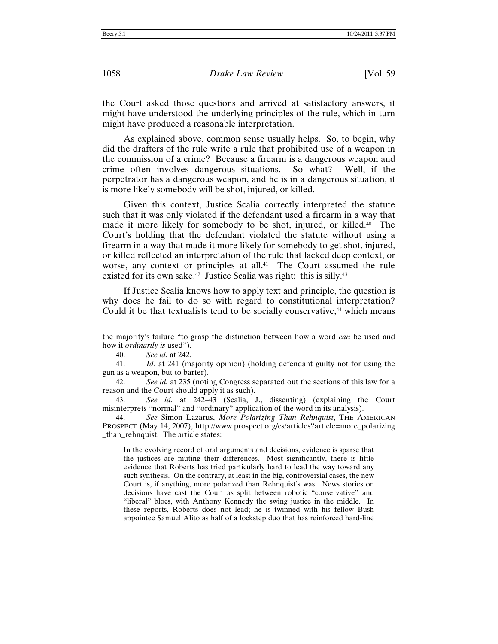the Court asked those questions and arrived at satisfactory answers, it might have understood the underlying principles of the rule, which in turn might have produced a reasonable interpretation.

As explained above, common sense usually helps. So, to begin, why did the drafters of the rule write a rule that prohibited use of a weapon in the commission of a crime? Because a firearm is a dangerous weapon and crime often involves dangerous situations. So what? Well, if the perpetrator has a dangerous weapon, and he is in a dangerous situation, it is more likely somebody will be shot, injured, or killed.

Given this context, Justice Scalia correctly interpreted the statute such that it was only violated if the defendant used a firearm in a way that made it more likely for somebody to be shot, injured, or killed.40 The Court's holding that the defendant violated the statute without using a firearm in a way that made it more likely for somebody to get shot, injured, or killed reflected an interpretation of the rule that lacked deep context, or worse, any context or principles at all.<sup>41</sup> The Court assumed the rule existed for its own sake.<sup>42</sup> Justice Scalia was right: this is silly.<sup>43</sup>

If Justice Scalia knows how to apply text and principle, the question is why does he fail to do so with regard to constitutional interpretation? Could it be that textualists tend to be socially conservative,<sup>44</sup> which means

40. *See id.* at 242.

In the evolving record of oral arguments and decisions, evidence is sparse that the justices are muting their differences. Most significantly, there is little evidence that Roberts has tried particularly hard to lead the way toward any such synthesis. On the contrary, at least in the big, controversial cases, the new Court is, if anything, more polarized than Rehnquist's was. News stories on decisions have cast the Court as split between robotic "conservative" and "liberal" blocs, with Anthony Kennedy the swing justice in the middle. In these reports, Roberts does not lead; he is twinned with his fellow Bush appointee Samuel Alito as half of a lockstep duo that has reinforced hard-line

the majority's failure "to grasp the distinction between how a word *can* be used and how it *ordinarily is* used").

<sup>41.</sup> *Id.* at 241 (majority opinion) (holding defendant guilty not for using the gun as a weapon, but to barter).

<sup>42.</sup> *See id.* at 235 (noting Congress separated out the sections of this law for a reason and the Court should apply it as such).

<sup>43.</sup> *See id.* at 242–43 (Scalia, J., dissenting) (explaining the Court misinterprets "normal" and "ordinary" application of the word in its analysis).

<sup>44.</sup> *See* Simon Lazarus, *More Polarizing Than Rehnquist*, THE AMERICAN PROSPECT (May 14, 2007), http://www.prospect.org/cs/articles?article=more\_polarizing \_than\_rehnquist. The article states: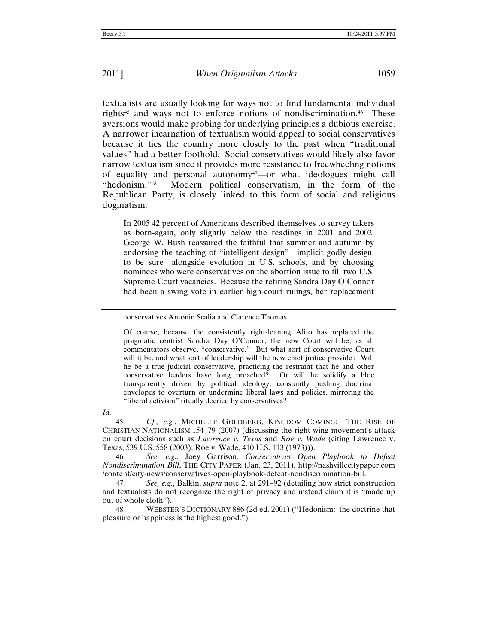textualists are usually looking for ways not to find fundamental individual rights45 and ways not to enforce notions of nondiscrimination.46 These aversions would make probing for underlying principles a dubious exercise. A narrower incarnation of textualism would appeal to social conservatives because it ties the country more closely to the past when "traditional values" had a better foothold. Social conservatives would likely also favor narrow textualism since it provides more resistance to freewheeling notions of equality and personal autonomy<sup>47</sup>—or what ideologues might call "hedonism."48 Modern political conservatism, in the form of the Republican Party, is closely linked to this form of social and religious dogmatism:

In 2005 42 percent of Americans described themselves to survey takers as born-again, only slightly below the readings in 2001 and 2002. George W. Bush reassured the faithful that summer and autumn by endorsing the teaching of "intelligent design"—implicit godly design, to be sure—alongside evolution in U.S. schools, and by choosing nominees who were conservatives on the abortion issue to fill two U.S. Supreme Court vacancies. Because the retiring Sandra Day O'Connor had been a swing vote in earlier high-court rulings, her replacement

*Id.*

45. *Cf., e.g.*, MICHELLE GOLDBERG, KINGDOM COMING: THE RISE OF CHRISTIAN NATIONALISM 154–79 (2007) (discussing the right-wing movement's attack on court decisions such as *Lawrence v. Texas* and *Roe v. Wade* (citing Lawrence v. Texas, 539 U.S. 558 (2003); Roe v. Wade, 410 U.S. 113 (1973))).

46. *See, e.g.*, Joey Garrison, *Conservatives Open Playbook to Defeat Nondiscrimination Bill*, THE CITY PAPER (Jan. 23, 2011), http://nashvillecitypaper.com /content/city-news/conservatives-open-playbook-defeat-nondiscrimination-bill.

47. *See, e.g.*, Balkin, *supra* note 2, at 291–92 (detailing how strict construction and textualists do not recognize the right of privacy and instead claim it is "made up out of whole cloth").

48. WEBSTER'S DICTIONARY 886 (2d ed. 2001) ("Hedonism: the doctrine that pleasure or happiness is the highest good.").

conservatives Antonin Scalia and Clarence Thomas.

Of course, because the consistently right-leaning Alito has replaced the pragmatic centrist Sandra Day O'Connor, the new Court will be, as all commentators observe, "conservative." But what sort of conservative Court will it be, and what sort of leadership will the new chief justice provide? Will he be a true judicial conservative, practicing the restraint that he and other conservative leaders have long preached? Or will he solidify a bloc transparently driven by political ideology, constantly pushing doctrinal envelopes to overturn or undermine liberal laws and policies, mirroring the "liberal activism" ritually decried by conservatives?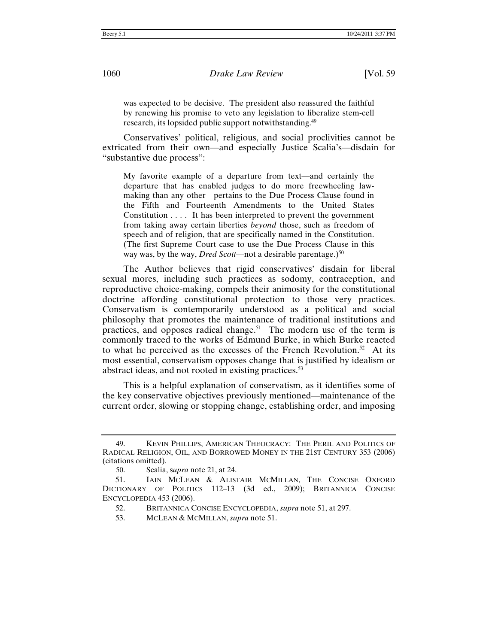was expected to be decisive. The president also reassured the faithful by renewing his promise to veto any legislation to liberalize stem-cell research, its lopsided public support notwithstanding.49

Conservatives' political, religious, and social proclivities cannot be extricated from their own—and especially Justice Scalia's—disdain for "substantive due process":

My favorite example of a departure from text—and certainly the departure that has enabled judges to do more freewheeling lawmaking than any other—pertains to the Due Process Clause found in the Fifth and Fourteenth Amendments to the United States Constitution . . . . It has been interpreted to prevent the government from taking away certain liberties *beyond* those, such as freedom of speech and of religion, that are specifically named in the Constitution. (The first Supreme Court case to use the Due Process Clause in this way was, by the way, *Dred Scott*—not a desirable parentage.)<sup>50</sup>

The Author believes that rigid conservatives' disdain for liberal sexual mores, including such practices as sodomy, contraception, and reproductive choice-making, compels their animosity for the constitutional doctrine affording constitutional protection to those very practices. Conservatism is contemporarily understood as a political and social philosophy that promotes the maintenance of traditional institutions and practices, and opposes radical change.<sup>51</sup> The modern use of the term is commonly traced to the works of Edmund Burke, in which Burke reacted to what he perceived as the excesses of the French Revolution.<sup>52</sup> At its most essential, conservatism opposes change that is justified by idealism or abstract ideas, and not rooted in existing practices.<sup>53</sup>

This is a helpful explanation of conservatism, as it identifies some of the key conservative objectives previously mentioned—maintenance of the current order, slowing or stopping change, establishing order, and imposing

<sup>49.</sup> KEVIN PHILLIPS, AMERICAN THEOCRACY: THE PERIL AND POLITICS OF RADICAL RELIGION, OIL, AND BORROWED MONEY IN THE 21ST CENTURY 353 (2006) (citations omitted).

<sup>50.</sup> Scalia, s*upra* note 21, at 24.

<sup>51.</sup> IAIN MCLEAN & ALISTAIR MCMILLAN, THE CONCISE OXFORD DICTIONARY OF POLITICS 112–13 (3d ed., 2009); BRITANNICA CONCISE ENCYCLOPEDIA 453 (2006).

 <sup>52.</sup> BRITANNICA CONCISE ENCYCLOPEDIA, *supra* note 51, at 297.

 <sup>53.</sup> MCLEAN & MCMILLAN, *supra* note 51.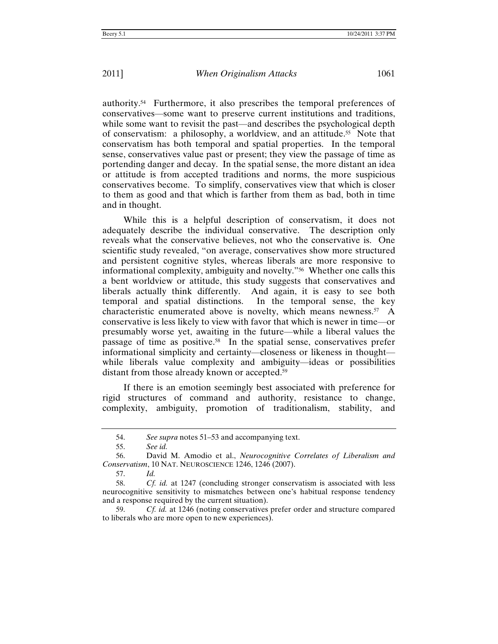authority.54 Furthermore, it also prescribes the temporal preferences of conservatives—some want to preserve current institutions and traditions, while some want to revisit the past—and describes the psychological depth of conservatism: a philosophy, a worldview, and an attitude.55 Note that conservatism has both temporal and spatial properties. In the temporal sense, conservatives value past or present; they view the passage of time as portending danger and decay. In the spatial sense, the more distant an idea or attitude is from accepted traditions and norms, the more suspicious conservatives become. To simplify, conservatives view that which is closer to them as good and that which is farther from them as bad, both in time and in thought.

While this is a helpful description of conservatism, it does not adequately describe the individual conservative. The description only reveals what the conservative believes, not who the conservative is. One scientific study revealed, "on average, conservatives show more structured and persistent cognitive styles, whereas liberals are more responsive to informational complexity, ambiguity and novelty."56 Whether one calls this a bent worldview or attitude, this study suggests that conservatives and liberals actually think differently. And again, it is easy to see both temporal and spatial distinctions. In the temporal sense, the key characteristic enumerated above is novelty, which means newness.<sup>57</sup> A conservative is less likely to view with favor that which is newer in time—or presumably worse yet, awaiting in the future—while a liberal values the passage of time as positive.58 In the spatial sense, conservatives prefer informational simplicity and certainty—closeness or likeness in thought while liberals value complexity and ambiguity—ideas or possibilities distant from those already known or accepted.59

If there is an emotion seemingly best associated with preference for rigid structures of command and authority, resistance to change, complexity, ambiguity, promotion of traditionalism, stability, and

<sup>54.</sup> *See supra* notes 51–53 and accompanying text.

<sup>55.</sup> *See id.*

<sup>56.</sup> David M. Amodio et al., *Neurocognitive Correlates of Liberalism and Conservatism*, 10 NAT. NEUROSCIENCE 1246, 1246 (2007).

<sup>57.</sup> *Id.* 

<sup>58.</sup> *Cf. id.* at 1247 (concluding stronger conservatism is associated with less neurocognitive sensitivity to mismatches between one's habitual response tendency and a response required by the current situation).

<sup>59.</sup> *Cf. id.* at 1246 (noting conservatives prefer order and structure compared to liberals who are more open to new experiences).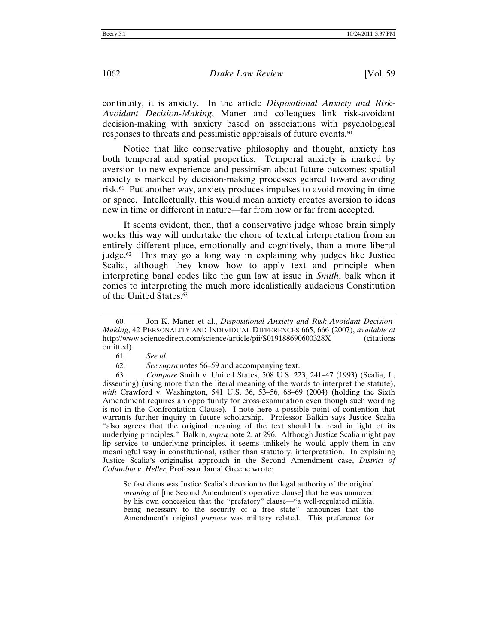continuity, it is anxiety. In the article *Dispositional Anxiety and Risk-Avoidant Decision-Making*, Maner and colleagues link risk-avoidant decision-making with anxiety based on associations with psychological responses to threats and pessimistic appraisals of future events.60

Notice that like conservative philosophy and thought, anxiety has both temporal and spatial properties. Temporal anxiety is marked by aversion to new experience and pessimism about future outcomes; spatial anxiety is marked by decision-making processes geared toward avoiding risk.61 Put another way, anxiety produces impulses to avoid moving in time or space. Intellectually, this would mean anxiety creates aversion to ideas new in time or different in nature—far from now or far from accepted.

It seems evident, then, that a conservative judge whose brain simply works this way will undertake the chore of textual interpretation from an entirely different place, emotionally and cognitively, than a more liberal judge.62 This may go a long way in explaining why judges like Justice Scalia, although they know how to apply text and principle when interpreting banal codes like the gun law at issue in *Smith*, balk when it comes to interpreting the much more idealistically audacious Constitution of the United States.63

63. *Compare* Smith v. United States, 508 U.S. 223, 241–47 (1993) (Scalia, J., dissenting) (using more than the literal meaning of the words to interpret the statute), *with* Crawford v. Washington, 541 U.S. 36, 53–56, 68–69 (2004) (holding the Sixth Amendment requires an opportunity for cross-examination even though such wording is not in the Confrontation Clause). I note here a possible point of contention that warrants further inquiry in future scholarship. Professor Balkin says Justice Scalia "also agrees that the original meaning of the text should be read in light of its underlying principles." Balkin, *supra* note 2, at 296. Although Justice Scalia might pay lip service to underlying principles, it seems unlikely he would apply them in any meaningful way in constitutional, rather than statutory, interpretation. In explaining Justice Scalia's originalist approach in the Second Amendment case, *District of Columbia v. Heller*, Professor Jamal Greene wrote:

So fastidious was Justice Scalia's devotion to the legal authority of the original *meaning* of [the Second Amendment's operative clause] that he was unmoved by his own concession that the "prefatory" clause—"a well-regulated militia, being necessary to the security of a free state"—announces that the Amendment's original *purpose* was military related. This preference for

<sup>60.</sup> Jon K. Maner et al., *Dispositional Anxiety and Risk-Avoidant Decision-Making*, 42 PERSONALITY AND INDIVIDUAL DIFFERENCES 665, 666 (2007), *available at* http://www.sciencedirect.com/science/article/pii/S019188690600328X (citations omitted).

<sup>61.</sup> *See id.*

<sup>62.</sup> *See supra* notes 56–59 and accompanying text.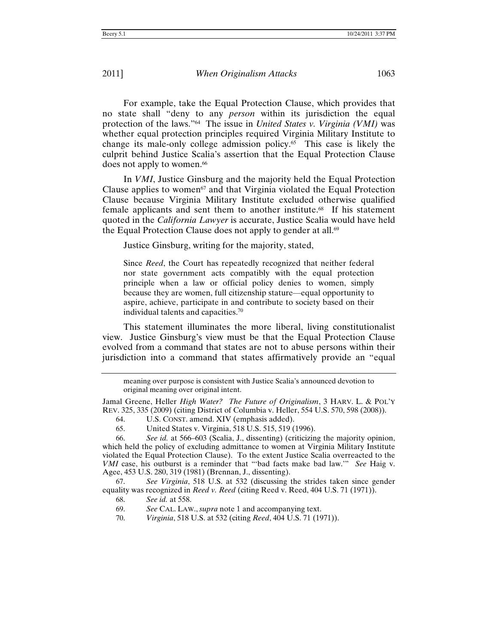For example, take the Equal Protection Clause, which provides that no state shall "deny to any *person* within its jurisdiction the equal protection of the laws."64 The issue in *United States v. Virginia (VMI)* was whether equal protection principles required Virginia Military Institute to change its male-only college admission policy.65 This case is likely the culprit behind Justice Scalia's assertion that the Equal Protection Clause does not apply to women.<sup>66</sup>

In *VMI*, Justice Ginsburg and the majority held the Equal Protection Clause applies to women<sup>67</sup> and that Virginia violated the Equal Protection Clause because Virginia Military Institute excluded otherwise qualified female applicants and sent them to another institute.68 If his statement quoted in the *California Lawyer* is accurate, Justice Scalia would have held the Equal Protection Clause does not apply to gender at all.<sup>69</sup>

Justice Ginsburg, writing for the majority, stated,

Since *Reed*, the Court has repeatedly recognized that neither federal nor state government acts compatibly with the equal protection principle when a law or official policy denies to women, simply because they are women, full citizenship stature—equal opportunity to aspire, achieve, participate in and contribute to society based on their individual talents and capacities.70

This statement illuminates the more liberal, living constitutionalist view. Justice Ginsburg's view must be that the Equal Protection Clause evolved from a command that states are not to abuse persons within their jurisdiction into a command that states affirmatively provide an "equal

Jamal Greene, Heller *High Water? The Future of Originalism*, 3 HARV. L. & POL'Y REV. 325, 335 (2009) (citing District of Columbia v. Heller, 554 U.S. 570, 598 (2008)).

67. *See Virginia*, 518 U.S. at 532 (discussing the strides taken since gender equality was recognized in *Reed v. Reed* (citing Reed v. Reed, 404 U.S. 71 (1971)).

68. *See id.* at 558.

meaning over purpose is consistent with Justice Scalia's announced devotion to original meaning over original intent.

<sup>64.</sup> U.S. CONST. amend. XIV (emphasis added).

<sup>65.</sup> United States v. Virginia, 518 U.S. 515, 519 (1996).

<sup>66.</sup> *See id.* at 566–603 (Scalia, J., dissenting) (criticizing the majority opinion, which held the policy of excluding admittance to women at Virginia Military Institute violated the Equal Protection Clause). To the extent Justice Scalia overreacted to the *VMI* case, his outburst is a reminder that "'bad facts make bad law.'" *See* Haig v. Agee, 453 U.S. 280, 319 (1981) (Brennan, J., dissenting).

<sup>69.</sup> *See* CAL. LAW.,*supra* note 1 and accompanying text.

<sup>70.</sup> *Virginia*, 518 U.S. at 532 (citing *Reed*, 404 U.S. 71 (1971)).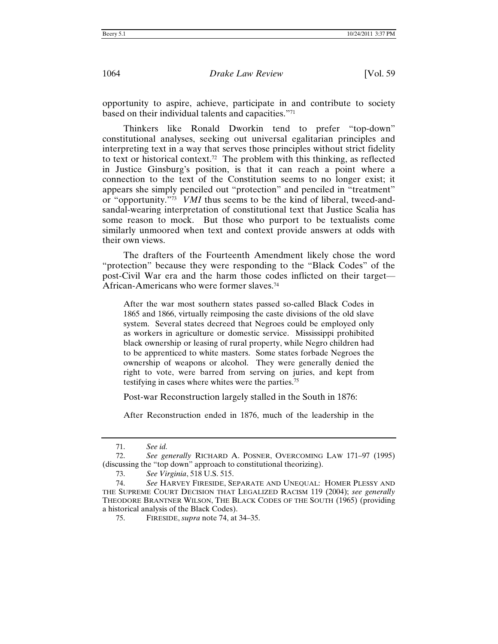opportunity to aspire, achieve, participate in and contribute to society based on their individual talents and capacities."71

Thinkers like Ronald Dworkin tend to prefer "top-down" constitutional analyses, seeking out universal egalitarian principles and interpreting text in a way that serves those principles without strict fidelity to text or historical context.<sup>72</sup> The problem with this thinking, as reflected in Justice Ginsburg's position, is that it can reach a point where a connection to the text of the Constitution seems to no longer exist; it appears she simply penciled out "protection" and penciled in "treatment" or "opportunity."73 *VMI* thus seems to be the kind of liberal, tweed-andsandal-wearing interpretation of constitutional text that Justice Scalia has some reason to mock. But those who purport to be textualists come similarly unmoored when text and context provide answers at odds with their own views.

The drafters of the Fourteenth Amendment likely chose the word "protection" because they were responding to the "Black Codes" of the post-Civil War era and the harm those codes inflicted on their target— African-Americans who were former slaves.74

After the war most southern states passed so-called Black Codes in 1865 and 1866, virtually reimposing the caste divisions of the old slave system. Several states decreed that Negroes could be employed only as workers in agriculture or domestic service. Mississippi prohibited black ownership or leasing of rural property, while Negro children had to be apprenticed to white masters. Some states forbade Negroes the ownership of weapons or alcohol. They were generally denied the right to vote, were barred from serving on juries, and kept from testifying in cases where whites were the parties.75

Post-war Reconstruction largely stalled in the South in 1876:

After Reconstruction ended in 1876, much of the leadership in the

<sup>71.</sup> *See id.*

<sup>72.</sup> *See generally* RICHARD A. POSNER, OVERCOMING LAW 171–97 (1995) (discussing the "top down" approach to constitutional theorizing).

<sup>73.</sup> *See Virginia*, 518 U.S. 515.

<sup>74.</sup> *See* HARVEY FIRESIDE, SEPARATE AND UNEQUAL: HOMER PLESSY AND THE SUPREME COURT DECISION THAT LEGALIZED RACISM 119 (2004); *see generally* THEODORE BRANTNER WILSON, THE BLACK CODES OF THE SOUTH (1965) (providing a historical analysis of the Black Codes).

<sup>75.</sup> FIRESIDE, *supra* note 74, at 34–35.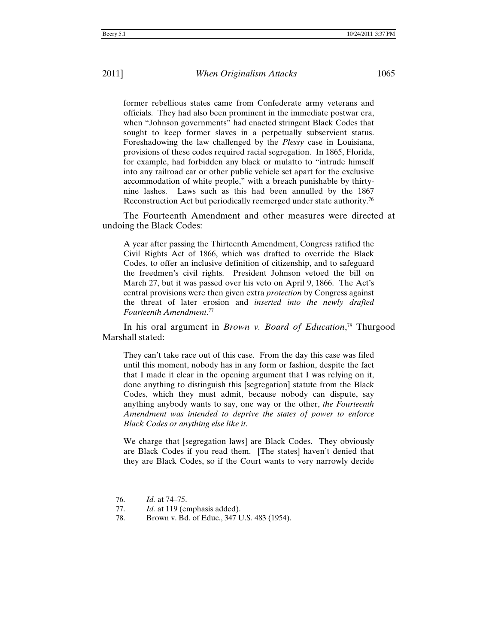former rebellious states came from Confederate army veterans and officials. They had also been prominent in the immediate postwar era, when "Johnson governments" had enacted stringent Black Codes that sought to keep former slaves in a perpetually subservient status. Foreshadowing the law challenged by the *Plessy* case in Louisiana, provisions of these codes required racial segregation. In 1865, Florida, for example, had forbidden any black or mulatto to "intrude himself into any railroad car or other public vehicle set apart for the exclusive accommodation of white people," with a breach punishable by thirtynine lashes. Laws such as this had been annulled by the 1867 Reconstruction Act but periodically reemerged under state authority.76

The Fourteenth Amendment and other measures were directed at undoing the Black Codes:

A year after passing the Thirteenth Amendment, Congress ratified the Civil Rights Act of 1866, which was drafted to override the Black Codes, to offer an inclusive definition of citizenship, and to safeguard the freedmen's civil rights. President Johnson vetoed the bill on March 27, but it was passed over his veto on April 9, 1866. The Act's central provisions were then given extra *protection* by Congress against the threat of later erosion and *inserted into the newly drafted Fourteenth Amendment*. 77

In his oral argument in *Brown v. Board of Education*, 78 Thurgood Marshall stated:

They can't take race out of this case. From the day this case was filed until this moment, nobody has in any form or fashion, despite the fact that I made it clear in the opening argument that I was relying on it, done anything to distinguish this [segregation] statute from the Black Codes, which they must admit, because nobody can dispute, say anything anybody wants to say, one way or the other, *the Fourteenth Amendment was intended to deprive the states of power to enforce Black Codes or anything else like it*.

We charge that [segregation laws] are Black Codes. They obviously are Black Codes if you read them. [The states] haven't denied that they are Black Codes, so if the Court wants to very narrowly decide

<sup>76.</sup> *Id.* at 74–75.

<sup>77.</sup> *Id.* at 119 (emphasis added).

<sup>78.</sup> Brown v. Bd. of Educ., 347 U.S. 483 (1954).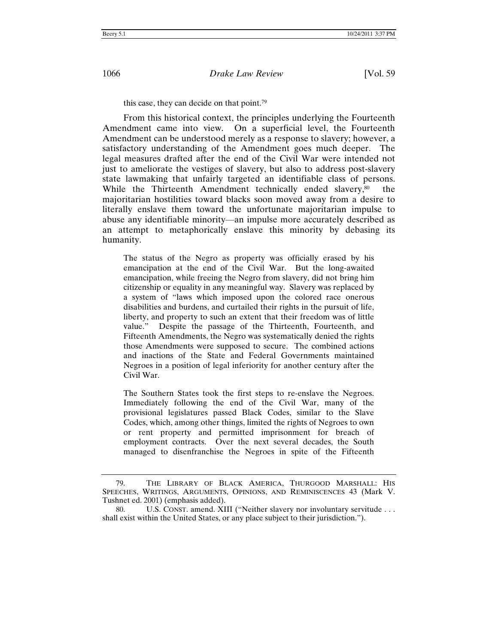this case, they can decide on that point.79

From this historical context, the principles underlying the Fourteenth Amendment came into view. On a superficial level, the Fourteenth Amendment can be understood merely as a response to slavery; however, a satisfactory understanding of the Amendment goes much deeper. The legal measures drafted after the end of the Civil War were intended not just to ameliorate the vestiges of slavery, but also to address post-slavery state lawmaking that unfairly targeted an identifiable class of persons. While the Thirteenth Amendment technically ended slavery,<sup>80</sup> the majoritarian hostilities toward blacks soon moved away from a desire to literally enslave them toward the unfortunate majoritarian impulse to abuse any identifiable minority—an impulse more accurately described as an attempt to metaphorically enslave this minority by debasing its humanity.

The status of the Negro as property was officially erased by his emancipation at the end of the Civil War. But the long-awaited emancipation, while freeing the Negro from slavery, did not bring him citizenship or equality in any meaningful way. Slavery was replaced by a system of "laws which imposed upon the colored race onerous disabilities and burdens, and curtailed their rights in the pursuit of life, liberty, and property to such an extent that their freedom was of little value." Despite the passage of the Thirteenth, Fourteenth, and Fifteenth Amendments, the Negro was systematically denied the rights those Amendments were supposed to secure. The combined actions and inactions of the State and Federal Governments maintained Negroes in a position of legal inferiority for another century after the Civil War.

The Southern States took the first steps to re-enslave the Negroes. Immediately following the end of the Civil War, many of the provisional legislatures passed Black Codes, similar to the Slave Codes, which, among other things, limited the rights of Negroes to own or rent property and permitted imprisonment for breach of employment contracts. Over the next several decades, the South managed to disenfranchise the Negroes in spite of the Fifteenth

<sup>79.</sup> THE LIBRARY OF BLACK AMERICA, THURGOOD MARSHALL: HIS SPEECHES, WRITINGS, ARGUMENTS, OPINIONS, AND REMINISCENCES 43 (Mark V. Tushnet ed. 2001) (emphasis added).

<sup>80.</sup> U.S. CONST. amend. XIII ("Neither slavery nor involuntary servitude . . . shall exist within the United States, or any place subject to their jurisdiction.").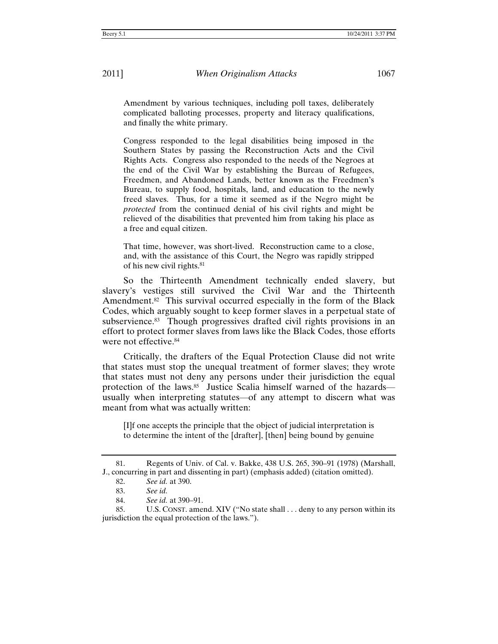Amendment by various techniques, including poll taxes, deliberately complicated balloting processes, property and literacy qualifications, and finally the white primary.

Congress responded to the legal disabilities being imposed in the Southern States by passing the Reconstruction Acts and the Civil Rights Acts. Congress also responded to the needs of the Negroes at the end of the Civil War by establishing the Bureau of Refugees, Freedmen, and Abandoned Lands, better known as the Freedmen's Bureau, to supply food, hospitals, land, and education to the newly freed slaves. Thus, for a time it seemed as if the Negro might be *protected* from the continued denial of his civil rights and might be relieved of the disabilities that prevented him from taking his place as a free and equal citizen.

That time, however, was short-lived. Reconstruction came to a close, and, with the assistance of this Court, the Negro was rapidly stripped of his new civil rights.81

So the Thirteenth Amendment technically ended slavery, but slavery's vestiges still survived the Civil War and the Thirteenth Amendment.<sup>82</sup> This survival occurred especially in the form of the Black Codes, which arguably sought to keep former slaves in a perpetual state of subservience.<sup>83</sup> Though progressives drafted civil rights provisions in an effort to protect former slaves from laws like the Black Codes, those efforts were not effective.84

Critically, the drafters of the Equal Protection Clause did not write that states must stop the unequal treatment of former slaves; they wrote that states must not deny any persons under their jurisdiction the equal protection of the laws.<sup>85</sup> Justice Scalia himself warned of the hazards usually when interpreting statutes—of any attempt to discern what was meant from what was actually written:

[I]f one accepts the principle that the object of judicial interpretation is to determine the intent of the [drafter], [then] being bound by genuine

<sup>81.</sup> Regents of Univ. of Cal. v. Bakke, 438 U.S. 265, 390–91 (1978) (Marshall, J., concurring in part and dissenting in part) (emphasis added) (citation omitted).

<sup>82.</sup> *See id.* at 390.

<sup>83.</sup> *See id.*

<sup>84.</sup> *See id.* at 390–91.

<sup>85.</sup> U.S. CONST. amend. XIV ("No state shall . . . deny to any person within its jurisdiction the equal protection of the laws.").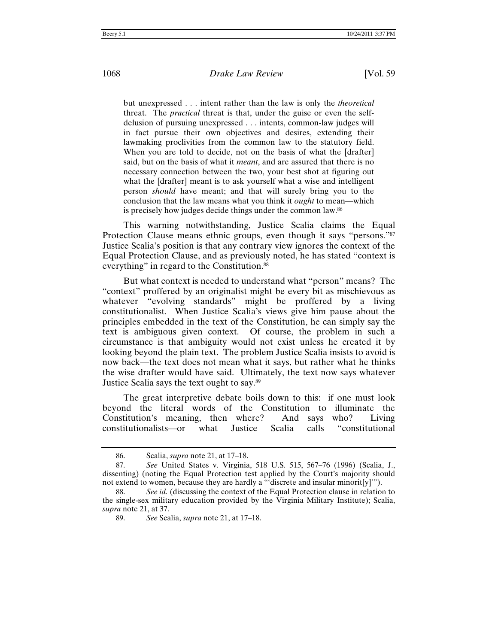but unexpressed . . . intent rather than the law is only the *theoretical* threat. The *practical* threat is that, under the guise or even the selfdelusion of pursuing unexpressed . . . intents, common-law judges will in fact pursue their own objectives and desires, extending their lawmaking proclivities from the common law to the statutory field. When you are told to decide, not on the basis of what the [drafter] said, but on the basis of what it *meant*, and are assured that there is no necessary connection between the two, your best shot at figuring out what the [drafter] meant is to ask yourself what a wise and intelligent person *should* have meant; and that will surely bring you to the conclusion that the law means what you think it *ought* to mean—which is precisely how judges decide things under the common law.86

This warning notwithstanding, Justice Scalia claims the Equal Protection Clause means ethnic groups, even though it says "persons."<sup>87</sup> Justice Scalia's position is that any contrary view ignores the context of the Equal Protection Clause, and as previously noted, he has stated "context is everything" in regard to the Constitution.<sup>88</sup>

But what context is needed to understand what "person" means? The "context" proffered by an originalist might be every bit as mischievous as whatever "evolving standards" might be proffered by a living constitutionalist. When Justice Scalia's views give him pause about the principles embedded in the text of the Constitution, he can simply say the text is ambiguous given context. Of course, the problem in such a circumstance is that ambiguity would not exist unless he created it by looking beyond the plain text. The problem Justice Scalia insists to avoid is now back—the text does not mean what it says, but rather what he thinks the wise drafter would have said. Ultimately, the text now says whatever Justice Scalia says the text ought to say.89

The great interpretive debate boils down to this: if one must look beyond the literal words of the Constitution to illuminate the Constitution's meaning, then where? And says who? Living constitutionalists—or what Justice Scalia calls "constitutional

<sup>86.</sup> Scalia, *supra* note 21, at 17–18.

<sup>87.</sup> *See* United States v. Virginia, 518 U.S. 515, 567–76 (1996) (Scalia, J., dissenting) (noting the Equal Protection test applied by the Court's majority should not extend to women, because they are hardly a "'discrete and insular minorit[y]'").

<sup>88.</sup> *See id.* (discussing the context of the Equal Protection clause in relation to the single-sex military education provided by the Virginia Military Institute); Scalia, *supra* note 21, at 37.

<sup>89.</sup> *See* Scalia, *supra* note 21, at 17–18.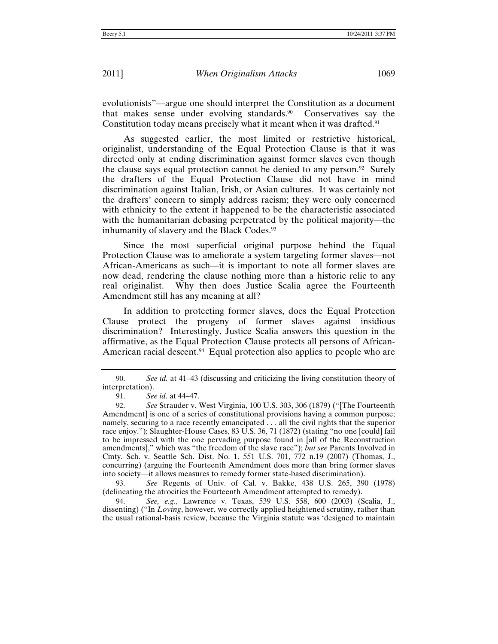evolutionists"—argue one should interpret the Constitution as a document that makes sense under evolving standards.90 Conservatives say the Constitution today means precisely what it meant when it was drafted.<sup>91</sup>

As suggested earlier, the most limited or restrictive historical, originalist, understanding of the Equal Protection Clause is that it was directed only at ending discrimination against former slaves even though the clause says equal protection cannot be denied to any person.92Surely the drafters of the Equal Protection Clause did not have in mind discrimination against Italian, Irish, or Asian cultures. It was certainly not the drafters' concern to simply address racism; they were only concerned with ethnicity to the extent it happened to be the characteristic associated with the humanitarian debasing perpetrated by the political majority—the inhumanity of slavery and the Black Codes.<sup>93</sup>

Since the most superficial original purpose behind the Equal Protection Clause was to ameliorate a system targeting former slaves—not African-Americans as such—it is important to note all former slaves are now dead, rendering the clause nothing more than a historic relic to any real originalist. Why then does Justice Scalia agree the Fourteenth Amendment still has any meaning at all?

In addition to protecting former slaves, does the Equal Protection Clause protect the progeny of former slaves against insidious discrimination? Interestingly, Justice Scalia answers this question in the affirmative, as the Equal Protection Clause protects all persons of African-American racial descent.<sup>94</sup> Equal protection also applies to people who are

93. *See* Regents of Univ. of Cal. v. Bakke, 438 U.S. 265, 390 (1978) (delineating the atrocities the Fourteenth Amendment attempted to remedy).

94. *See, e.g.*, Lawrence v. Texas, 539 U.S. 558, 600 (2003) (Scalia, J., dissenting) ("In *Loving*, however, we correctly applied heightened scrutiny, rather than the usual rational-basis review, because the Virginia statute was 'designed to maintain

<sup>90.</sup> *See id.* at 41–43 (discussing and criticizing the living constitution theory of interpretation).

<sup>91.</sup> *See id.* at 44–47.

<sup>92.</sup> *See* Strauder v. West Virginia, 100 U.S. 303, 306 (1879) ("[The Fourteenth Amendment] is one of a series of constitutional provisions having a common purpose; namely, securing to a race recently emancipated . . . all the civil rights that the superior race enjoy."); Slaughter-House Cases, 83 U.S. 36, 71 (1872) (stating "no one [could] fail to be impressed with the one pervading purpose found in [all of the Reconstruction amendments]," which was "the freedom of the slave race"); *but see* Parents Involved in Cmty. Sch. v. Seattle Sch. Dist. No. 1, 551 U.S. 701, 772 n.19 (2007) (Thomas, J., concurring) (arguing the Fourteenth Amendment does more than bring former slaves into society—it allows measures to remedy former state-based discrimination).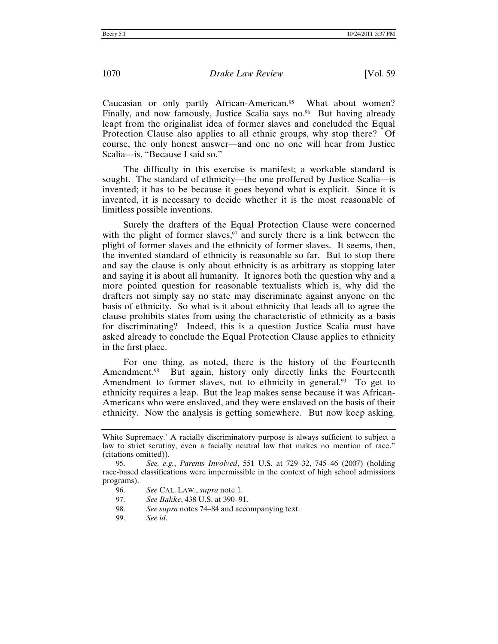Caucasian or only partly African-American.<sup>95</sup> What about women? Finally, and now famously, Justice Scalia says no. $\%$  But having already leapt from the originalist idea of former slaves and concluded the Equal Protection Clause also applies to all ethnic groups, why stop there? Of course, the only honest answer—and one no one will hear from Justice Scalia—is, "Because I said so."

The difficulty in this exercise is manifest; a workable standard is sought. The standard of ethnicity—the one proffered by Justice Scalia—is invented; it has to be because it goes beyond what is explicit. Since it is invented, it is necessary to decide whether it is the most reasonable of limitless possible inventions.

Surely the drafters of the Equal Protection Clause were concerned with the plight of former slaves,  $97$  and surely there is a link between the plight of former slaves and the ethnicity of former slaves. It seems, then, the invented standard of ethnicity is reasonable so far. But to stop there and say the clause is only about ethnicity is as arbitrary as stopping later and saying it is about all humanity. It ignores both the question why and a more pointed question for reasonable textualists which is, why did the drafters not simply say no state may discriminate against anyone on the basis of ethnicity. So what is it about ethnicity that leads all to agree the clause prohibits states from using the characteristic of ethnicity as a basis for discriminating? Indeed, this is a question Justice Scalia must have asked already to conclude the Equal Protection Clause applies to ethnicity in the first place.

For one thing, as noted, there is the history of the Fourteenth Amendment.<sup>98</sup> But again, history only directly links the Fourteenth Amendment to former slaves, not to ethnicity in general.<sup>99</sup> To get to ethnicity requires a leap. But the leap makes sense because it was African-Americans who were enslaved, and they were enslaved on the basis of their ethnicity. Now the analysis is getting somewhere. But now keep asking.

97. *See Bakke*, 438 U.S. at 390–91.

98. *See supra* notes 74–84 and accompanying text.

99. *See id.*

White Supremacy.' A racially discriminatory purpose is always sufficient to subject a law to strict scrutiny, even a facially neutral law that makes no mention of race." (citations omitted)).

<sup>95.</sup> *See, e.g.*, *Parents Involved*, 551 U.S. at 729–32, 745–46 (2007) (holding race-based classifications were impermissible in the context of high school admissions programs).

<sup>96.</sup> *See* CAL. LAW., *supra* note 1.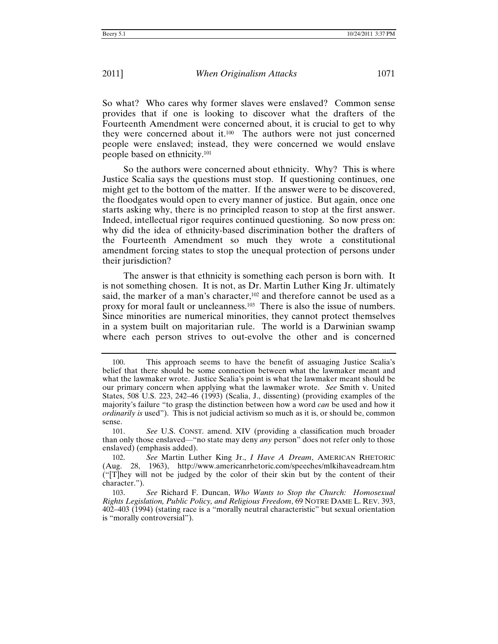So what? Who cares why former slaves were enslaved? Common sense provides that if one is looking to discover what the drafters of the Fourteenth Amendment were concerned about, it is crucial to get to why they were concerned about it.100 The authors were not just concerned people were enslaved; instead, they were concerned we would enslave people based on ethnicity.101

So the authors were concerned about ethnicity. Why? This is where Justice Scalia says the questions must stop. If questioning continues, one might get to the bottom of the matter. If the answer were to be discovered, the floodgates would open to every manner of justice. But again, once one starts asking why, there is no principled reason to stop at the first answer. Indeed, intellectual rigor requires continued questioning. So now press on: why did the idea of ethnicity-based discrimination bother the drafters of the Fourteenth Amendment so much they wrote a constitutional amendment forcing states to stop the unequal protection of persons under their jurisdiction?

The answer is that ethnicity is something each person is born with. It is not something chosen. It is not, as Dr. Martin Luther King Jr. ultimately said, the marker of a man's character,<sup>102</sup> and therefore cannot be used as a proxy for moral fault or uncleanness.103 There is also the issue of numbers. Since minorities are numerical minorities, they cannot protect themselves in a system built on majoritarian rule. The world is a Darwinian swamp where each person strives to out-evolve the other and is concerned

<sup>100.</sup> This approach seems to have the benefit of assuaging Justice Scalia's belief that there should be some connection between what the lawmaker meant and what the lawmaker wrote. Justice Scalia's point is what the lawmaker meant should be our primary concern when applying what the lawmaker wrote. *See* Smith v. United States, 508 U.S. 223, 242–46 (1993) (Scalia, J., dissenting) (providing examples of the majority's failure "to grasp the distinction between how a word *can* be used and how it *ordinarily is* used"). This is not judicial activism so much as it is, or should be, common sense.

<sup>101.</sup> *See* U.S. CONST. amend. XIV (providing a classification much broader than only those enslaved—"no state may deny *any* person" does not refer only to those enslaved) (emphasis added).

<sup>102.</sup> *See* Martin Luther King Jr., *I Have A Dream*, AMERICAN RHETORIC (Aug. 28, 1963), http://www.americanrhetoric.com/speeches/mlkihaveadream.htm ("[T]hey will not be judged by the color of their skin but by the content of their character.").

<sup>103.</sup> *See* Richard F. Duncan, *Who Wants to Stop the Church: Homosexual Rights Legislation, Public Policy, and Religious Freedom*, 69 NOTRE DAME L. REV. 393, 402–403 (1994) (stating race is a "morally neutral characteristic" but sexual orientation is "morally controversial").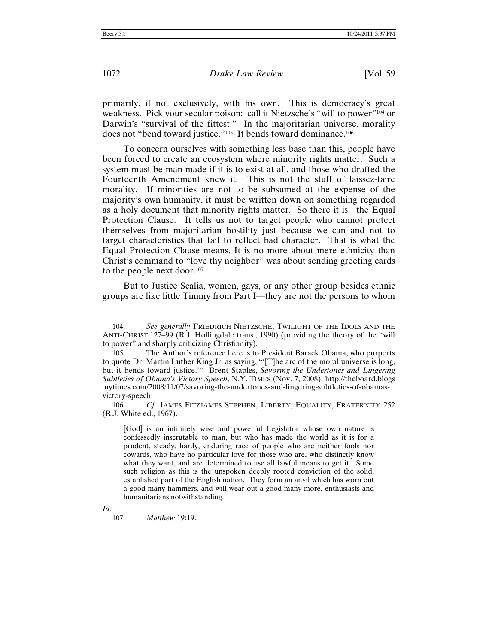primarily, if not exclusively, with his own. This is democracy's great weakness. Pick your secular poison: call it Nietzsche's "will to power"104 or Darwin's "survival of the fittest." In the majoritarian universe, morality does not "bend toward justice."<sup>105</sup> It bends toward dominance.<sup>106</sup>

To concern ourselves with something less base than this, people have been forced to create an ecosystem where minority rights matter. Such a system must be man-made if it is to exist at all, and those who drafted the Fourteenth Amendment knew it. This is not the stuff of laissez-faire morality. If minorities are not to be subsumed at the expense of the majority's own humanity, it must be written down on something regarded as a holy document that minority rights matter. So there it is: the Equal Protection Clause. It tells us not to target people who cannot protect themselves from majoritarian hostility just because we can and not to target characteristics that fail to reflect bad character. That is what the Equal Protection Clause means. It is no more about mere ethnicity than Christ's command to "love thy neighbor" was about sending greeting cards to the people next door.107

But to Justice Scalia, women, gays, or any other group besides ethnic groups are like little Timmy from Part I—they are not the persons to whom

106. *Cf*. JAMES FITZJAMES STEPHEN, LIBERTY, EQUALITY, FRATERNITY 252 (R.J. White ed., 1967).

[God] is an infinitely wise and powerful Legislator whose own nature is confessedly inscrutable to man, but who has made the world as it is for a prudent, steady, hardy, enduring race of people who are neither fools nor cowards, who have no particular love for those who are, who distinctly know what they want, and are determined to use all lawful means to get it. Some such religion as this is the unspoken deeply rooted conviction of the solid, established part of the English nation. They form an anvil which has worn out a good many hammers, and will wear out a good many more, enthusiasts and humanitarians notwithstanding.

*Id.*

107. *Matthew* 19:19.

<sup>104.</sup> *See generally* FRIEDRICH NIETZSCHE, TWILIGHT OF THE IDOLS AND THE ANTI-CHRIST 127–99 (R.J. Hollingdale trans., 1990) (providing the theory of the "will to power" and sharply criticizing Christianity).

<sup>105.</sup> The Author's reference here is to President Barack Obama, who purports to quote Dr. Martin Luther King Jr. as saying, "'[T]he arc of the moral universe is long, but it bends toward justice.'" Brent Staples, *Savoring the Undertones and Lingering Subtleties of Obama's Victory Speech*, N.Y. TIMES (Nov. 7, 2008), http://theboard.blogs .nytimes.com/2008/11/07/savoring-the-undertones-and-lingering-subtleties-of-obamasvictory-speech.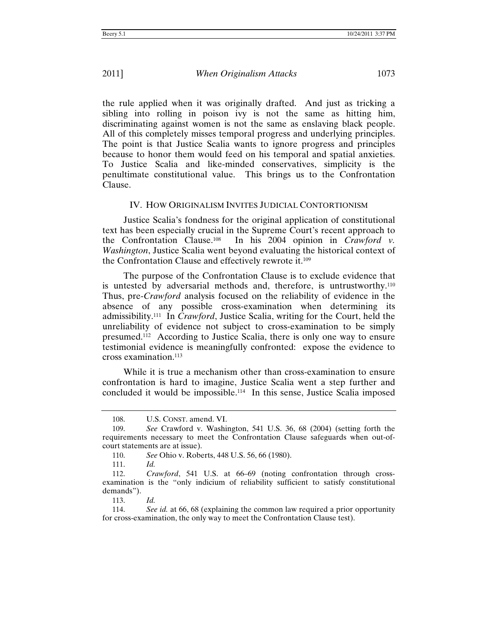the rule applied when it was originally drafted. And just as tricking a sibling into rolling in poison ivy is not the same as hitting him, discriminating against women is not the same as enslaving black people. All of this completely misses temporal progress and underlying principles. The point is that Justice Scalia wants to ignore progress and principles because to honor them would feed on his temporal and spatial anxieties. To Justice Scalia and like-minded conservatives, simplicity is the penultimate constitutional value. This brings us to the Confrontation Clause.

# IV. HOW ORIGINALISM INVITES JUDICIAL CONTORTIONISM

Justice Scalia's fondness for the original application of constitutional text has been especially crucial in the Supreme Court's recent approach to the Confrontation Clause.<sup>108</sup> In his 2004 opinion in *Crawford v*. In his 2004 opinion in *Crawford v. Washington*, Justice Scalia went beyond evaluating the historical context of the Confrontation Clause and effectively rewrote it.109

The purpose of the Confrontation Clause is to exclude evidence that is untested by adversarial methods and, therefore, is untrustworthy.110 Thus, pre-*Crawford* analysis focused on the reliability of evidence in the absence of any possible cross-examination when determining its admissibility.111 In *Crawford*, Justice Scalia, writing for the Court, held the unreliability of evidence not subject to cross-examination to be simply presumed.112 According to Justice Scalia, there is only one way to ensure testimonial evidence is meaningfully confronted: expose the evidence to cross examination.113

While it is true a mechanism other than cross-examination to ensure confrontation is hard to imagine, Justice Scalia went a step further and concluded it would be impossible.114 In this sense, Justice Scalia imposed

<sup>108.</sup> U.S. CONST. amend. VI.

<sup>109.</sup> *See* Crawford v. Washington, 541 U.S. 36, 68 (2004) (setting forth the requirements necessary to meet the Confrontation Clause safeguards when out-ofcourt statements are at issue).

<sup>110.</sup> *See* Ohio v. Roberts, 448 U.S. 56, 66 (1980).

<sup>111.</sup> *Id.*

<sup>112.</sup> *Crawford*, 541 U.S. at 66–69 (noting confrontation through crossexamination is the "only indicium of reliability sufficient to satisfy constitutional demands").

<sup>113.</sup> *Id.*

<sup>114.</sup> *See id.* at 66, 68 (explaining the common law required a prior opportunity for cross-examination, the only way to meet the Confrontation Clause test).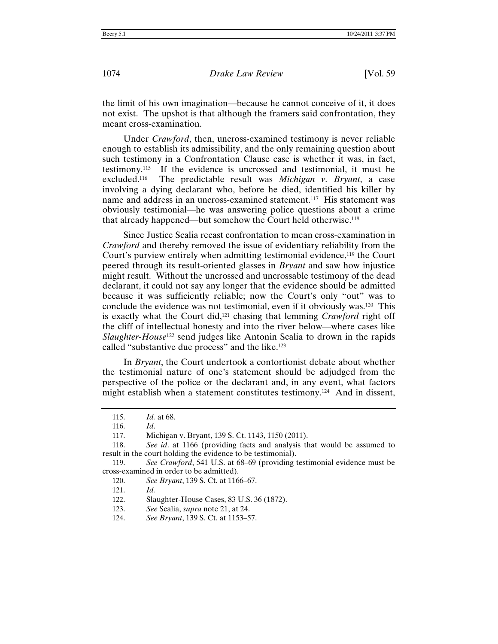the limit of his own imagination—because he cannot conceive of it, it does not exist. The upshot is that although the framers said confrontation, they meant cross-examination.

Under *Crawford*, then, uncross-examined testimony is never reliable enough to establish its admissibility, and the only remaining question about such testimony in a Confrontation Clause case is whether it was, in fact, testimony.115 If the evidence is uncrossed and testimonial, it must be excluded.116 The predictable result was *Michigan v. Bryant*, a case involving a dying declarant who, before he died, identified his killer by name and address in an uncross-examined statement.117 His statement was obviously testimonial—he was answering police questions about a crime that already happened—but somehow the Court held otherwise.118

Since Justice Scalia recast confrontation to mean cross-examination in *Crawford* and thereby removed the issue of evidentiary reliability from the Court's purview entirely when admitting testimonial evidence,<sup>119</sup> the Court peered through its result-oriented glasses in *Bryant* and saw how injustice might result. Without the uncrossed and uncrossable testimony of the dead declarant, it could not say any longer that the evidence should be admitted because it was sufficiently reliable; now the Court's only "out" was to conclude the evidence was not testimonial, even if it obviously was.<sup>120</sup> This is exactly what the Court did,121 chasing that lemming *Crawford* right off the cliff of intellectual honesty and into the river below—where cases like *Slaughter-House*122 send judges like Antonin Scalia to drown in the rapids called "substantive due process" and the like.123

In *Bryant*, the Court undertook a contortionist debate about whether the testimonial nature of one's statement should be adjudged from the perspective of the police or the declarant and, in any event, what factors might establish when a statement constitutes testimony.<sup>124</sup> And in dissent,

<sup>115.</sup> *Id.* at 68.

<sup>116.</sup> *Id*.

<sup>117.</sup> Michigan v. Bryant, 139 S. Ct. 1143, 1150 (2011).

<sup>118.</sup> *See id*. at 1166 (providing facts and analysis that would be assumed to result in the court holding the evidence to be testimonial).

<sup>119.</sup> *See Crawford*, 541 U.S. at 68–69 (providing testimonial evidence must be cross-examined in order to be admitted).

<sup>120.</sup> *See Bryant*, 139 S. Ct. at 1166–67.

<sup>121.</sup> *Id.*

<sup>122.</sup> Slaughter-House Cases, 83 U.S. 36 (1872).

<sup>123.</sup> *See* Scalia, *supra* note 21, at 24.

<sup>124.</sup> *See Bryant*, 139 S. Ct. at 1153–57.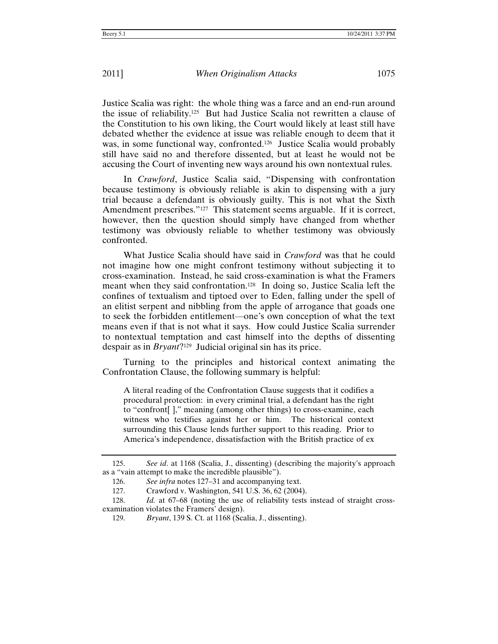Justice Scalia was right: the whole thing was a farce and an end-run around the issue of reliability.<sup>125</sup> But had Justice Scalia not rewritten a clause of the Constitution to his own liking, the Court would likely at least still have debated whether the evidence at issue was reliable enough to deem that it was, in some functional way, confronted.<sup>126</sup> Justice Scalia would probably still have said no and therefore dissented, but at least he would not be accusing the Court of inventing new ways around his own nontextual rules.

In *Crawford*, Justice Scalia said, "Dispensing with confrontation because testimony is obviously reliable is akin to dispensing with a jury trial because a defendant is obviously guilty. This is not what the Sixth Amendment prescribes."<sup>127</sup> This statement seems arguable. If it is correct, however, then the question should simply have changed from whether testimony was obviously reliable to whether testimony was obviously confronted.

What Justice Scalia should have said in *Crawford* was that he could not imagine how one might confront testimony without subjecting it to cross-examination. Instead, he said cross-examination is what the Framers meant when they said confrontation.<sup>128</sup> In doing so, Justice Scalia left the confines of textualism and tiptoed over to Eden, falling under the spell of an elitist serpent and nibbling from the apple of arrogance that goads one to seek the forbidden entitlement—one's own conception of what the text means even if that is not what it says. How could Justice Scalia surrender to nontextual temptation and cast himself into the depths of dissenting despair as in *Bryant*?129 Judicial original sin has its price.

Turning to the principles and historical context animating the Confrontation Clause, the following summary is helpful:

A literal reading of the Confrontation Clause suggests that it codifies a procedural protection: in every criminal trial, a defendant has the right to "confront[ ]," meaning (among other things) to cross-examine, each witness who testifies against her or him. The historical context surrounding this Clause lends further support to this reading. Prior to America's independence, dissatisfaction with the British practice of ex

<sup>125.</sup> *See id*. at 1168 (Scalia, J., dissenting) (describing the majority's approach as a "vain attempt to make the incredible plausible").

<sup>126.</sup> *See infra* notes 127–31 and accompanying text.

<sup>127.</sup> Crawford v. Washington, 541 U.S. 36, 62 (2004).

<sup>128.</sup> *Id.* at 67–68 (noting the use of reliability tests instead of straight crossexamination violates the Framers' design).

<sup>129.</sup> *Bryant*, 139 S. Ct. at 1168 (Scalia, J., dissenting).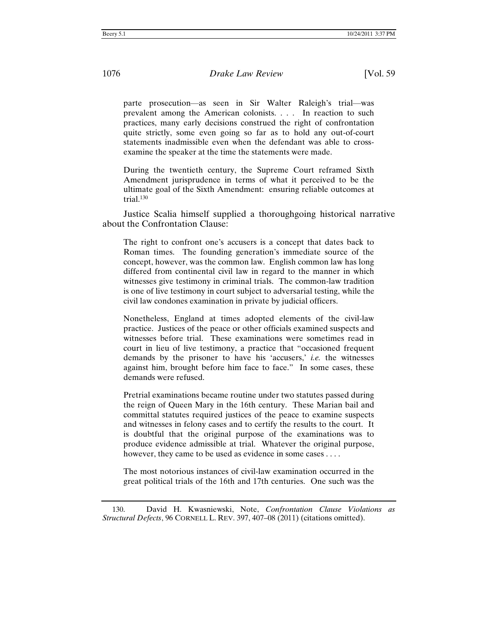parte prosecution—as seen in Sir Walter Raleigh's trial—was prevalent among the American colonists. . . . In reaction to such practices, many early decisions construed the right of confrontation quite strictly, some even going so far as to hold any out-of-court statements inadmissible even when the defendant was able to crossexamine the speaker at the time the statements were made.

During the twentieth century, the Supreme Court reframed Sixth Amendment jurisprudence in terms of what it perceived to be the ultimate goal of the Sixth Amendment: ensuring reliable outcomes at trial.<sup>130</sup>

Justice Scalia himself supplied a thoroughgoing historical narrative about the Confrontation Clause:

The right to confront one's accusers is a concept that dates back to Roman times. The founding generation's immediate source of the concept, however, was the common law. English common law has long differed from continental civil law in regard to the manner in which witnesses give testimony in criminal trials. The common-law tradition is one of live testimony in court subject to adversarial testing, while the civil law condones examination in private by judicial officers.

Nonetheless, England at times adopted elements of the civil-law practice. Justices of the peace or other officials examined suspects and witnesses before trial. These examinations were sometimes read in court in lieu of live testimony, a practice that "occasioned frequent demands by the prisoner to have his 'accusers,' *i.e.* the witnesses against him, brought before him face to face." In some cases, these demands were refused.

Pretrial examinations became routine under two statutes passed during the reign of Queen Mary in the 16th century. These Marian bail and committal statutes required justices of the peace to examine suspects and witnesses in felony cases and to certify the results to the court. It is doubtful that the original purpose of the examinations was to produce evidence admissible at trial. Whatever the original purpose, however, they came to be used as evidence in some cases ....

The most notorious instances of civil-law examination occurred in the great political trials of the 16th and 17th centuries. One such was the

130. David H. Kwasniewski, Note, *Confrontation Clause Violations as Structural Defects*, 96 CORNELL L. REV. 397, 407–08 (2011) (citations omitted).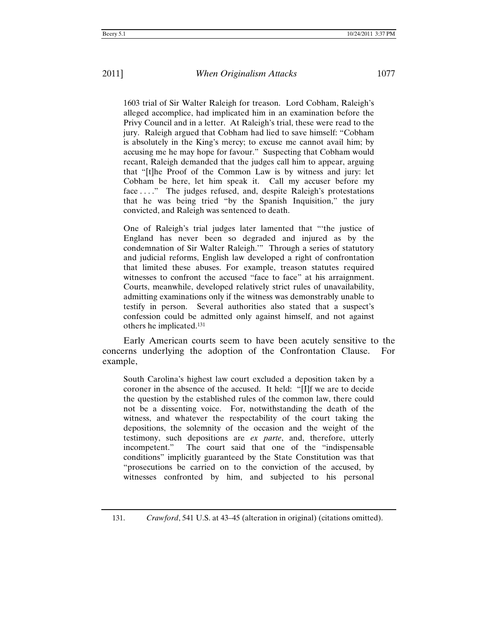1603 trial of Sir Walter Raleigh for treason. Lord Cobham, Raleigh's alleged accomplice, had implicated him in an examination before the Privy Council and in a letter. At Raleigh's trial, these were read to the jury. Raleigh argued that Cobham had lied to save himself: "Cobham is absolutely in the King's mercy; to excuse me cannot avail him; by accusing me he may hope for favour." Suspecting that Cobham would recant, Raleigh demanded that the judges call him to appear, arguing that "[t]he Proof of the Common Law is by witness and jury: let Cobham be here, let him speak it. Call my accuser before my face ...." The judges refused, and, despite Raleigh's protestations that he was being tried "by the Spanish Inquisition," the jury convicted, and Raleigh was sentenced to death.

One of Raleigh's trial judges later lamented that "'the justice of England has never been so degraded and injured as by the condemnation of Sir Walter Raleigh.'" Through a series of statutory and judicial reforms, English law developed a right of confrontation that limited these abuses. For example, treason statutes required witnesses to confront the accused "face to face" at his arraignment. Courts, meanwhile, developed relatively strict rules of unavailability, admitting examinations only if the witness was demonstrably unable to testify in person. Several authorities also stated that a suspect's confession could be admitted only against himself, and not against others he implicated.131

Early American courts seem to have been acutely sensitive to the concerns underlying the adoption of the Confrontation Clause. For example,

South Carolina's highest law court excluded a deposition taken by a coroner in the absence of the accused. It held: "[I]f we are to decide the question by the established rules of the common law, there could not be a dissenting voice. For, notwithstanding the death of the witness, and whatever the respectability of the court taking the depositions, the solemnity of the occasion and the weight of the testimony, such depositions are *ex parte*, and, therefore, utterly incompetent." The court said that one of the "indispensable conditions" implicitly guaranteed by the State Constitution was that "prosecutions be carried on to the conviction of the accused, by witnesses confronted by him, and subjected to his personal

<sup>131.</sup> *Crawford*, 541 U.S. at 43–45 (alteration in original) (citations omitted).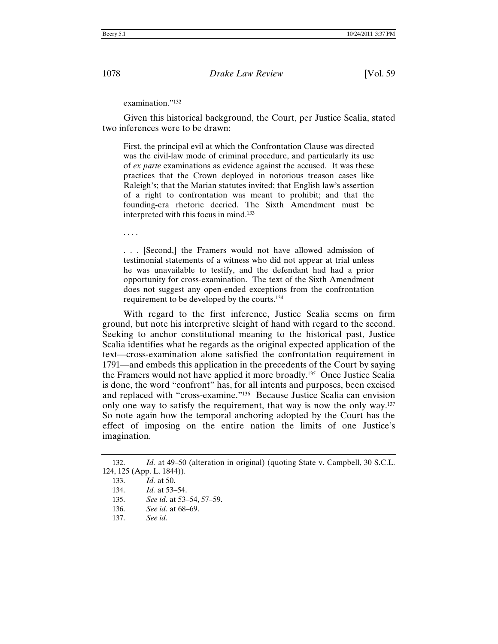examination."132

Given this historical background, the Court, per Justice Scalia, stated two inferences were to be drawn:

First, the principal evil at which the Confrontation Clause was directed was the civil-law mode of criminal procedure, and particularly its use of *ex parte* examinations as evidence against the accused. It was these practices that the Crown deployed in notorious treason cases like Raleigh's; that the Marian statutes invited; that English law's assertion of a right to confrontation was meant to prohibit; and that the founding-era rhetoric decried. The Sixth Amendment must be interpreted with this focus in mind.133

. . . .

. . . [Second,] the Framers would not have allowed admission of testimonial statements of a witness who did not appear at trial unless he was unavailable to testify, and the defendant had had a prior opportunity for cross-examination. The text of the Sixth Amendment does not suggest any open-ended exceptions from the confrontation requirement to be developed by the courts.134

With regard to the first inference, Justice Scalia seems on firm ground, but note his interpretive sleight of hand with regard to the second. Seeking to anchor constitutional meaning to the historical past, Justice Scalia identifies what he regards as the original expected application of the text—cross-examination alone satisfied the confrontation requirement in 1791—and embeds this application in the precedents of the Court by saying the Framers would not have applied it more broadly.135 Once Justice Scalia is done, the word "confront" has, for all intents and purposes, been excised and replaced with "cross-examine."136 Because Justice Scalia can envision only one way to satisfy the requirement, that way is now the only way.137 So note again how the temporal anchoring adopted by the Court has the effect of imposing on the entire nation the limits of one Justice's imagination.

<sup>132.</sup> *Id.* at 49–50 (alteration in original) (quoting State v. Campbell, 30 S.C.L. 124, 125 (App. L. 1844)).

<sup>133.</sup> *Id.* at 50.

<sup>134.</sup> *Id.* at 53–54.

<sup>135.</sup> *See id.* at 53–54, 57–59.

<sup>136.</sup> *See id.* at 68–69.

<sup>137.</sup> *See id.*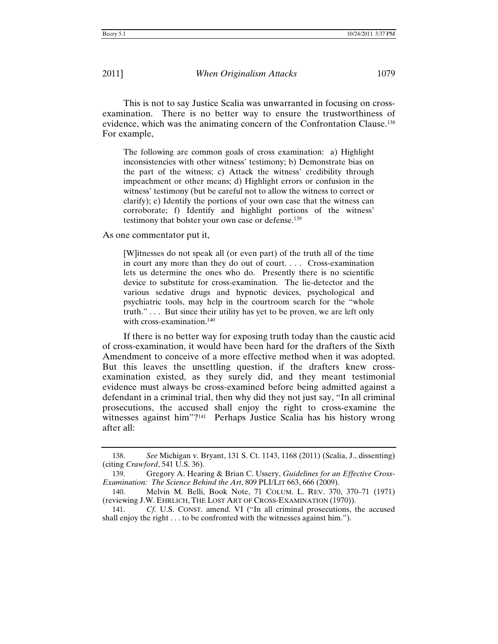This is not to say Justice Scalia was unwarranted in focusing on crossexamination. There is no better way to ensure the trustworthiness of evidence, which was the animating concern of the Confrontation Clause.138 For example,

The following are common goals of cross examination: a) Highlight inconsistencies with other witness' testimony; b) Demonstrate bias on the part of the witness; c) Attack the witness' credibility through impeachment or other means; d) Highlight errors or confusion in the witness' testimony (but be careful not to allow the witness to correct or clarify); e) Identify the portions of your own case that the witness can corroborate; f) Identify and highlight portions of the witness' testimony that bolster your own case or defense.139

As one commentator put it,

[W]itnesses do not speak all (or even part) of the truth all of the time in court any more than they do out of court. . . . Cross-examination lets us determine the ones who do. Presently there is no scientific device to substitute for cross-examination. The lie-detector and the various sedative drugs and hypnotic devices, psychological and psychiatric tools, may help in the courtroom search for the "whole truth." . . . But since their utility has yet to be proven, we are left only with cross-examination.<sup>140</sup>

If there is no better way for exposing truth today than the caustic acid of cross-examination, it would have been hard for the drafters of the Sixth Amendment to conceive of a more effective method when it was adopted. But this leaves the unsettling question, if the drafters knew crossexamination existed, as they surely did, and they meant testimonial evidence must always be cross-examined before being admitted against a defendant in a criminal trial, then why did they not just say, "In all criminal prosecutions, the accused shall enjoy the right to cross-examine the witnesses against him"?<sup>141</sup> Perhaps Justice Scalia has his history wrong after all:

<sup>138.</sup> *See* Michigan v. Bryant, 131 S. Ct. 1143, 1168 (2011) (Scalia, J., dissenting) (citing *Crawford*, 541 U.S. 36).

<sup>139.</sup> Gregory A. Hearing & Brian C. Ussery, *Guidelines for an Effective Cross-Examination: The Science Behind the Art*, 809 PLI/LIT 663, 666 (2009).

<sup>140.</sup> Melvin M. Belli, Book Note, 71 COLUM. L. REV. 370, 370–71 (1971) (reviewing J.W. EHRLICH, THE LOST ART OF CROSS-EXAMINATION (1970)).

<sup>141.</sup> *Cf.* U.S. CONST. amend. VI ("In all criminal prosecutions, the accused shall enjoy the right . . . to be confronted with the witnesses against him.").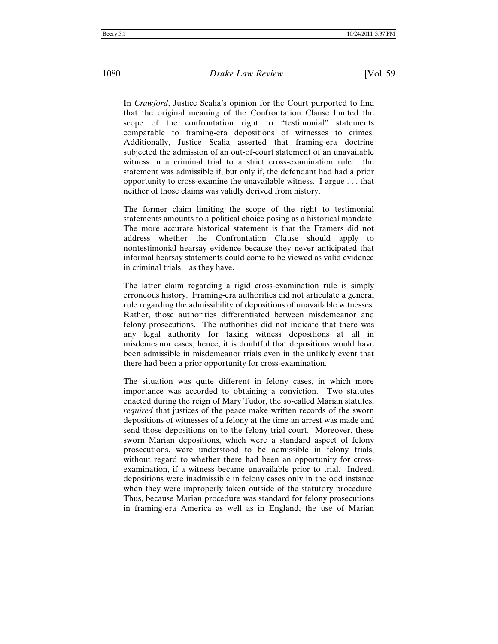In *Crawford*, Justice Scalia's opinion for the Court purported to find that the original meaning of the Confrontation Clause limited the scope of the confrontation right to "testimonial" statements comparable to framing-era depositions of witnesses to crimes. Additionally, Justice Scalia asserted that framing-era doctrine subjected the admission of an out-of-court statement of an unavailable witness in a criminal trial to a strict cross-examination rule: the statement was admissible if, but only if, the defendant had had a prior opportunity to cross-examine the unavailable witness. I argue . . . that neither of those claims was validly derived from history.

The former claim limiting the scope of the right to testimonial statements amounts to a political choice posing as a historical mandate. The more accurate historical statement is that the Framers did not address whether the Confrontation Clause should apply to nontestimonial hearsay evidence because they never anticipated that informal hearsay statements could come to be viewed as valid evidence in criminal trials—as they have.

The latter claim regarding a rigid cross-examination rule is simply erroneous history. Framing-era authorities did not articulate a general rule regarding the admissibility of depositions of unavailable witnesses. Rather, those authorities differentiated between misdemeanor and felony prosecutions. The authorities did not indicate that there was any legal authority for taking witness depositions at all in misdemeanor cases; hence, it is doubtful that depositions would have been admissible in misdemeanor trials even in the unlikely event that there had been a prior opportunity for cross-examination.

The situation was quite different in felony cases, in which more importance was accorded to obtaining a conviction. Two statutes enacted during the reign of Mary Tudor, the so-called Marian statutes, *required* that justices of the peace make written records of the sworn depositions of witnesses of a felony at the time an arrest was made and send those depositions on to the felony trial court. Moreover, these sworn Marian depositions, which were a standard aspect of felony prosecutions, were understood to be admissible in felony trials, without regard to whether there had been an opportunity for crossexamination, if a witness became unavailable prior to trial. Indeed, depositions were inadmissible in felony cases only in the odd instance when they were improperly taken outside of the statutory procedure. Thus, because Marian procedure was standard for felony prosecutions in framing-era America as well as in England, the use of Marian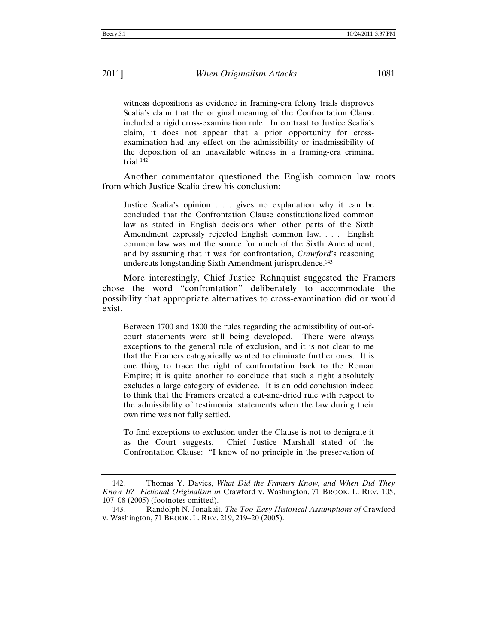witness depositions as evidence in framing-era felony trials disproves Scalia's claim that the original meaning of the Confrontation Clause included a rigid cross-examination rule. In contrast to Justice Scalia's claim, it does not appear that a prior opportunity for crossexamination had any effect on the admissibility or inadmissibility of the deposition of an unavailable witness in a framing-era criminal trial.142

Another commentator questioned the English common law roots from which Justice Scalia drew his conclusion:

Justice Scalia's opinion . . . gives no explanation why it can be concluded that the Confrontation Clause constitutionalized common law as stated in English decisions when other parts of the Sixth Amendment expressly rejected English common law. . . . English common law was not the source for much of the Sixth Amendment, and by assuming that it was for confrontation, *Crawford*'s reasoning undercuts longstanding Sixth Amendment jurisprudence.<sup>143</sup>

More interestingly, Chief Justice Rehnquist suggested the Framers chose the word "confrontation" deliberately to accommodate the possibility that appropriate alternatives to cross-examination did or would exist.

Between 1700 and 1800 the rules regarding the admissibility of out-ofcourt statements were still being developed. There were always exceptions to the general rule of exclusion, and it is not clear to me that the Framers categorically wanted to eliminate further ones. It is one thing to trace the right of confrontation back to the Roman Empire; it is quite another to conclude that such a right absolutely excludes a large category of evidence. It is an odd conclusion indeed to think that the Framers created a cut-and-dried rule with respect to the admissibility of testimonial statements when the law during their own time was not fully settled.

To find exceptions to exclusion under the Clause is not to denigrate it as the Court suggests. Chief Justice Marshall stated of the Confrontation Clause: "I know of no principle in the preservation of

<sup>142.</sup> Thomas Y. Davies, *What Did the Framers Know, and When Did They Know It? Fictional Originalism in* Crawford v. Washington, 71 BROOK. L. REV. 105, 107–08 (2005) (footnotes omitted).

<sup>143.</sup> Randolph N. Jonakait, *The Too-Easy Historical Assumptions of* Crawford v. Washington, 71 BROOK. L. REV. 219, 219–20 (2005).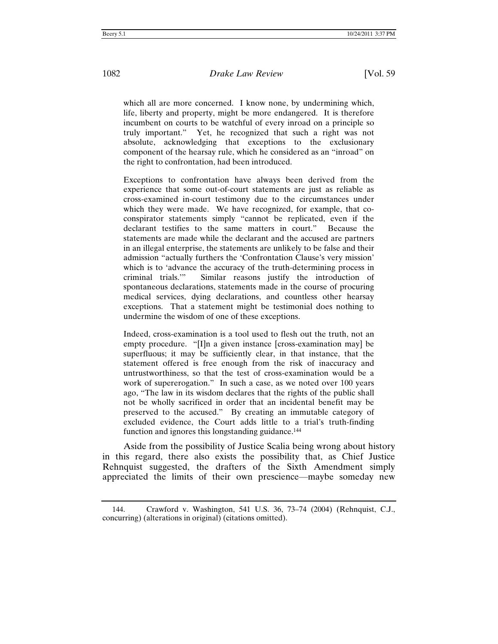which all are more concerned. I know none, by undermining which, life, liberty and property, might be more endangered. It is therefore incumbent on courts to be watchful of every inroad on a principle so truly important." Yet, he recognized that such a right was not absolute, acknowledging that exceptions to the exclusionary component of the hearsay rule, which he considered as an "inroad" on the right to confrontation, had been introduced.

Exceptions to confrontation have always been derived from the experience that some out-of-court statements are just as reliable as cross-examined in-court testimony due to the circumstances under which they were made. We have recognized, for example, that coconspirator statements simply "cannot be replicated, even if the declarant testifies to the same matters in court." Because the statements are made while the declarant and the accused are partners in an illegal enterprise, the statements are unlikely to be false and their admission "actually furthers the 'Confrontation Clause's very mission' which is to 'advance the accuracy of the truth-determining process in criminal trials.'" Similar reasons justify the introduction of spontaneous declarations, statements made in the course of procuring medical services, dying declarations, and countless other hearsay exceptions. That a statement might be testimonial does nothing to undermine the wisdom of one of these exceptions.

Indeed, cross-examination is a tool used to flesh out the truth, not an empty procedure. "[I]n a given instance [cross-examination may] be superfluous; it may be sufficiently clear, in that instance, that the statement offered is free enough from the risk of inaccuracy and untrustworthiness, so that the test of cross-examination would be a work of supererogation." In such a case, as we noted over 100 years ago, "The law in its wisdom declares that the rights of the public shall not be wholly sacrificed in order that an incidental benefit may be preserved to the accused." By creating an immutable category of excluded evidence, the Court adds little to a trial's truth-finding function and ignores this longstanding guidance.<sup>144</sup>

Aside from the possibility of Justice Scalia being wrong about history in this regard, there also exists the possibility that, as Chief Justice Rehnquist suggested, the drafters of the Sixth Amendment simply appreciated the limits of their own prescience—maybe someday new

<sup>144.</sup> Crawford v. Washington, 541 U.S. 36, 73–74 (2004) (Rehnquist, C.J., concurring) (alterations in original) (citations omitted).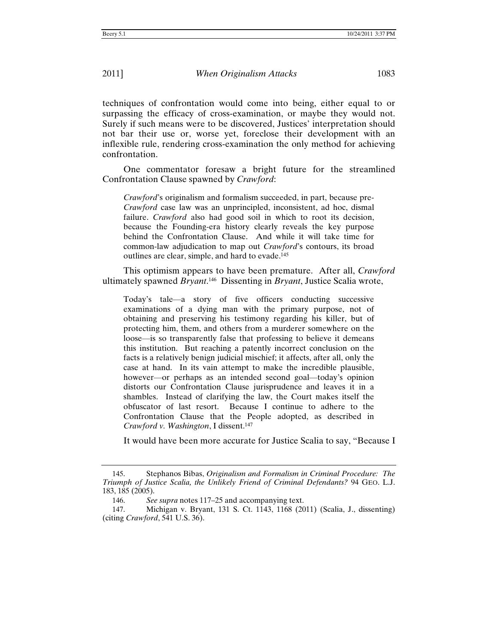techniques of confrontation would come into being, either equal to or surpassing the efficacy of cross-examination, or maybe they would not. Surely if such means were to be discovered, Justices' interpretation should not bar their use or, worse yet, foreclose their development with an inflexible rule, rendering cross-examination the only method for achieving confrontation.

One commentator foresaw a bright future for the streamlined Confrontation Clause spawned by *Crawford*:

*Crawford*'s originalism and formalism succeeded, in part, because pre-*Crawford* case law was an unprincipled, inconsistent, ad hoc, dismal failure. *Crawford* also had good soil in which to root its decision, because the Founding-era history clearly reveals the key purpose behind the Confrontation Clause. And while it will take time for common-law adjudication to map out *Crawford*'s contours, its broad outlines are clear, simple, and hard to evade.145

This optimism appears to have been premature. After all, *Crawford* ultimately spawned *Bryant*. 146 Dissenting in *Bryant*, Justice Scalia wrote,

Today's tale—a story of five officers conducting successive examinations of a dying man with the primary purpose, not of obtaining and preserving his testimony regarding his killer, but of protecting him, them, and others from a murderer somewhere on the loose—is so transparently false that professing to believe it demeans this institution. But reaching a patently incorrect conclusion on the facts is a relatively benign judicial mischief; it affects, after all, only the case at hand. In its vain attempt to make the incredible plausible, however—or perhaps as an intended second goal—today's opinion distorts our Confrontation Clause jurisprudence and leaves it in a shambles. Instead of clarifying the law, the Court makes itself the obfuscator of last resort. Because I continue to adhere to the Confrontation Clause that the People adopted, as described in *Crawford v. Washington*, I dissent.147

It would have been more accurate for Justice Scalia to say, "Because I

<sup>145.</sup> Stephanos Bibas, *Originalism and Formalism in Criminal Procedure: The Triumph of Justice Scalia, the Unlikely Friend of Criminal Defendants?* 94 GEO. L.J. 183, 185 (2005).

<sup>146.</sup> *See supra* notes 117–25 and accompanying text.

<sup>147.</sup> Michigan v. Bryant, 131 S. Ct. 1143, 1168 (2011) (Scalia, J., dissenting) (citing *Crawford*, 541 U.S. 36).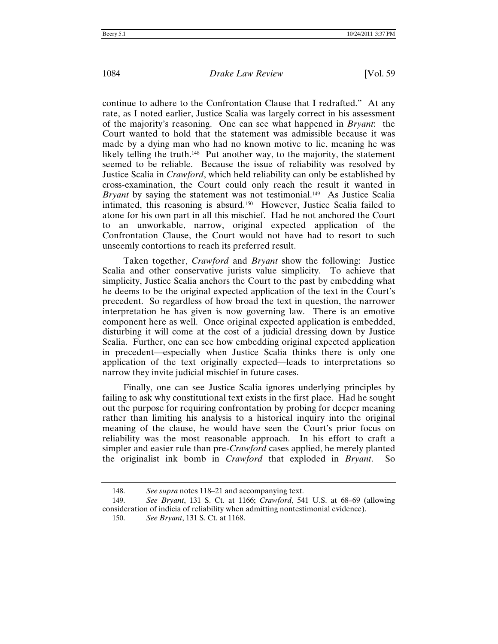continue to adhere to the Confrontation Clause that I redrafted." At any rate, as I noted earlier, Justice Scalia was largely correct in his assessment of the majority's reasoning. One can see what happened in *Bryant*: the Court wanted to hold that the statement was admissible because it was made by a dying man who had no known motive to lie, meaning he was likely telling the truth.<sup>148</sup> Put another way, to the majority, the statement seemed to be reliable. Because the issue of reliability was resolved by Justice Scalia in *Crawford*, which held reliability can only be established by cross-examination, the Court could only reach the result it wanted in *Bryant* by saying the statement was not testimonial.149 As Justice Scalia intimated, this reasoning is absurd.150 However, Justice Scalia failed to atone for his own part in all this mischief. Had he not anchored the Court to an unworkable, narrow, original expected application of the Confrontation Clause, the Court would not have had to resort to such unseemly contortions to reach its preferred result.

Taken together, *Crawford* and *Bryant* show the following: Justice Scalia and other conservative jurists value simplicity. To achieve that simplicity, Justice Scalia anchors the Court to the past by embedding what he deems to be the original expected application of the text in the Court's precedent. So regardless of how broad the text in question, the narrower interpretation he has given is now governing law. There is an emotive component here as well. Once original expected application is embedded, disturbing it will come at the cost of a judicial dressing down by Justice Scalia. Further, one can see how embedding original expected application in precedent—especially when Justice Scalia thinks there is only one application of the text originally expected—leads to interpretations so narrow they invite judicial mischief in future cases.

Finally, one can see Justice Scalia ignores underlying principles by failing to ask why constitutional text exists in the first place. Had he sought out the purpose for requiring confrontation by probing for deeper meaning rather than limiting his analysis to a historical inquiry into the original meaning of the clause, he would have seen the Court's prior focus on reliability was the most reasonable approach. In his effort to craft a simpler and easier rule than pre-*Crawford* cases applied, he merely planted the originalist ink bomb in *Crawford* that exploded in *Bryant*. So

<sup>148.</sup> *See supra* notes 118–21 and accompanying text.

<sup>149.</sup> *See Bryant*, 131 S. Ct. at 1166; *Crawford*, 541 U.S. at 68–69 (allowing consideration of indicia of reliability when admitting nontestimonial evidence).

<sup>150.</sup> *See Bryant*, 131 S. Ct. at 1168.